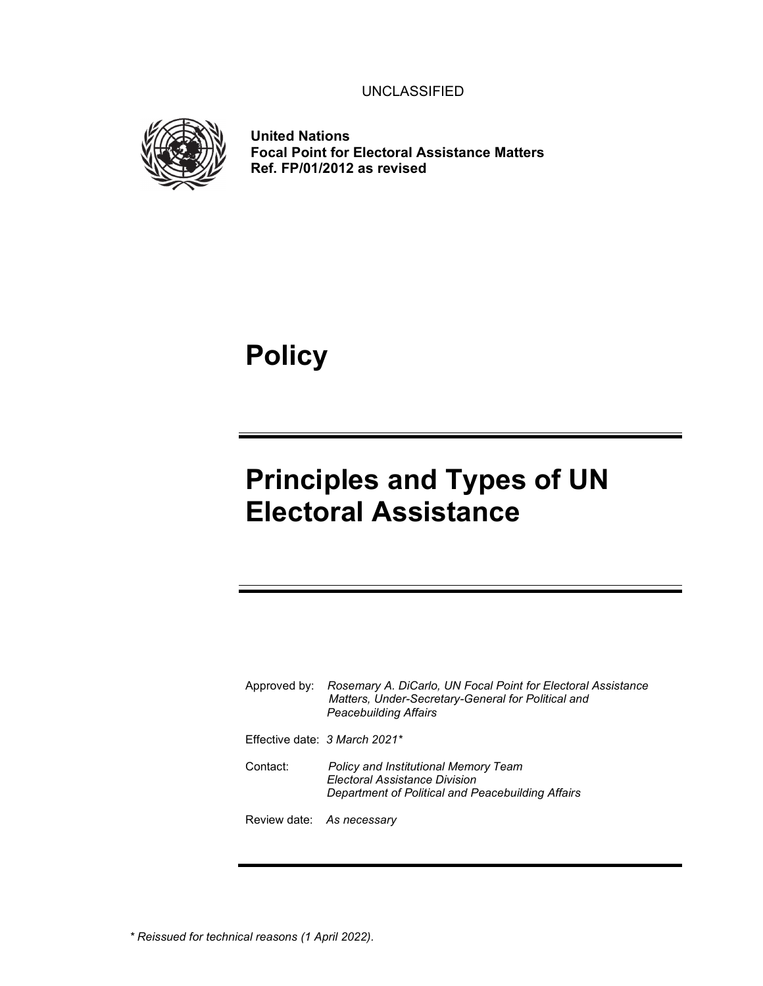UNCLASSIFIED



**United Nations Focal Point for Electoral Assistance Matters Ref. FP/01/2012 as revised** 

**Policy**

# **Principles and Types of UN Electoral Assistance**

| Approved by:              | Rosemary A. DiCarlo, UN Focal Point for Electoral Assistance<br>Matters, Under-Secretary-General for Political and<br><b>Peacebuilding Affairs</b> |
|---------------------------|----------------------------------------------------------------------------------------------------------------------------------------------------|
|                           | Effective date: 3 March 2021*                                                                                                                      |
| Contact:                  | <b>Policy and Institutional Memory Team</b><br><b>Electoral Assistance Division</b><br>Department of Political and Peacebuilding Affairs           |
| Review date: As necessary |                                                                                                                                                    |

*\* Reissued for technical reasons (1 April 2022).*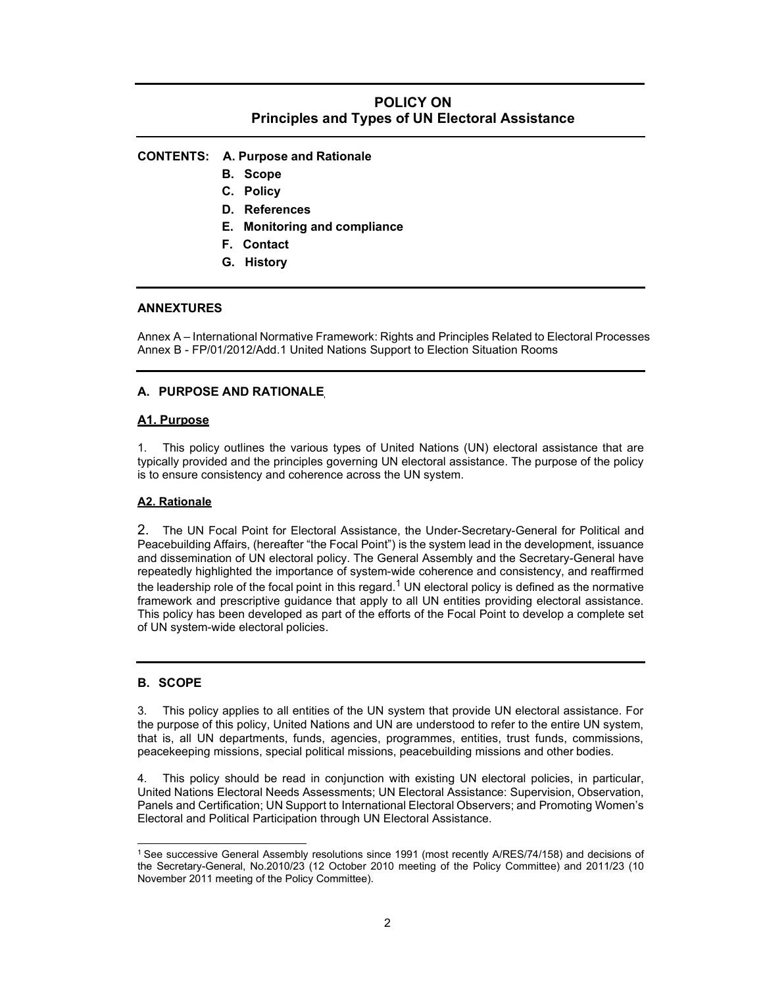# **POLICY ON Principles and Types of UN Electoral Assistance**

# **CONTENTS: A. Purpose and Rationale**

- **B. Scope**
- **C. Policy**
- **D. References**
- **E. Monitoring and compliance**
- **F. Contact**
- **G. History**

#### **ANNEXTURES**

Annex A – International Normative Framework: Rights and Principles Related to Electoral Processes Annex B - FP/01/2012/Add.1 United Nations Support to Election Situation Rooms

### **A. PURPOSE AND RATIONALE**

#### **A1. Purpose**

1. This policy outlines the various types of United Nations (UN) electoral assistance that are typically provided and the principles governing UN electoral assistance. The purpose of the policy is to ensure consistency and coherence across the UN system.

#### **A2. Rationale**

2. The UN Focal Point for Electoral Assistance, the Under-Secretary-General for Political and Peacebuilding Affairs, (hereafter "the Focal Point") is the system lead in the development, issuance and dissemination of UN electoral policy. The General Assembly and the Secretary-General have repeatedly highlighted the importance of system-wide coherence and consistency, and reaffirmed the leadership role of the focal point in this regard.<sup>1</sup> UN electoral policy is defined as the normative framework and prescriptive guidance that apply to all UN entities providing electoral assistance. This policy has been developed as part of the efforts of the Focal Point to develop a complete set of UN system-wide electoral policies.

### **B. SCOPE**

3. This policy applies to all entities of the UN system that provide UN electoral assistance. For the purpose of this policy, United Nations and UN are understood to refer to the entire UN system, that is, all UN departments, funds, agencies, programmes, entities, trust funds, commissions, peacekeeping missions, special political missions, peacebuilding missions and other bodies.

This policy should be read in conjunction with existing UN electoral policies, in particular, United Nations Electoral Needs Assessments; UN Electoral Assistance: Supervision, Observation, Panels and Certification; UN Support to International Electoral Observers; and Promoting Women's Electoral and Political Participation through UN Electoral Assistance.

<sup>1</sup>See successive General Assembly resolutions since 1991 (most recently A/RES/74/158) and decisions of the Secretary-General, No.2010/23 (12 October 2010 meeting of the Policy Committee) and 2011/23 (10 November 2011 meeting of the Policy Committee).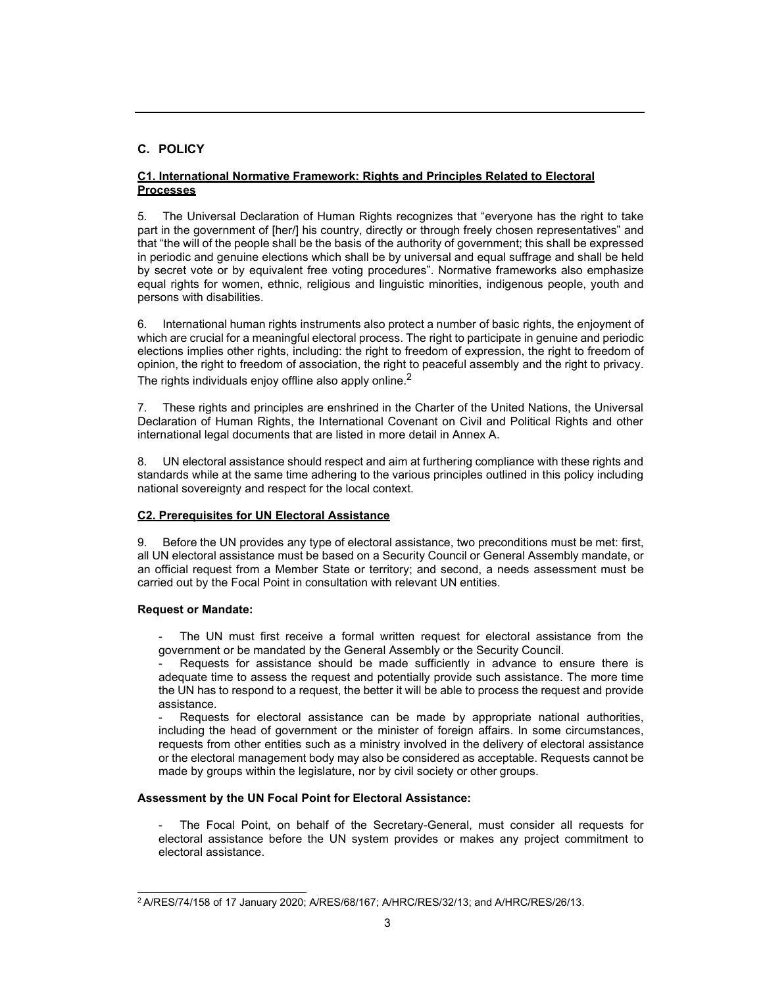# **C. POLICY**

# **C1. International Normative Framework: Rights and Principles Related to Electoral Processes**

5. The Universal Declaration of Human Rights recognizes that "everyone has the right to take part in the government of [her/] his country, directly or through freely chosen representatives" and that "the will of the people shall be the basis of the authority of government; this shall be expressed in periodic and genuine elections which shall be by universal and equal suffrage and shall be held by secret vote or by equivalent free voting procedures". Normative frameworks also emphasize equal rights for women, ethnic, religious and linguistic minorities, indigenous people, youth and persons with disabilities.

6. International human rights instruments also protect a number of basic rights, the enjoyment of which are crucial for a meaningful electoral process. The right to participate in genuine and periodic elections implies other rights, including: the right to freedom of expression, the right to freedom of opinion, the right to freedom of association, the right to peaceful assembly and the right to privacy. The rights individuals enjoy offline also apply online. $2$ 

7. These rights and principles are enshrined in the Charter of the United Nations, the Universal Declaration of Human Rights, the International Covenant on Civil and Political Rights and other international legal documents that are listed in more detail in Annex A.

8. UN electoral assistance should respect and aim at furthering compliance with these rights and standards while at the same time adhering to the various principles outlined in this policy including national sovereignty and respect for the local context.

# **C2. Prerequisites for UN Electoral Assistance**

9. Before the UN provides any type of electoral assistance, two preconditions must be met: first, all UN electoral assistance must be based on a Security Council or General Assembly mandate, or an official request from a Member State or territory; and second, a needs assessment must be carried out by the Focal Point in consultation with relevant UN entities.

# **Request or Mandate:**

The UN must first receive a formal written request for electoral assistance from the government or be mandated by the General Assembly or the Security Council.

Requests for assistance should be made sufficiently in advance to ensure there is adequate time to assess the request and potentially provide such assistance. The more time the UN has to respond to a request, the better it will be able to process the request and provide assistance.

Requests for electoral assistance can be made by appropriate national authorities, including the head of government or the minister of foreign affairs. In some circumstances, requests from other entities such as a ministry involved in the delivery of electoral assistance or the electoral management body may also be considered as acceptable. Requests cannot be made by groups within the legislature, nor by civil society or other groups.

# **Assessment by the UN Focal Point for Electoral Assistance:**

The Focal Point, on behalf of the Secretary-General, must consider all requests for electoral assistance before the UN system provides or makes any project commitment to electoral assistance.

<sup>2</sup> A/RES/74/158 of 17 January 2020; A/RES/68/167; A/HRC/RES/32/13; and A/HRC/RES/26/13.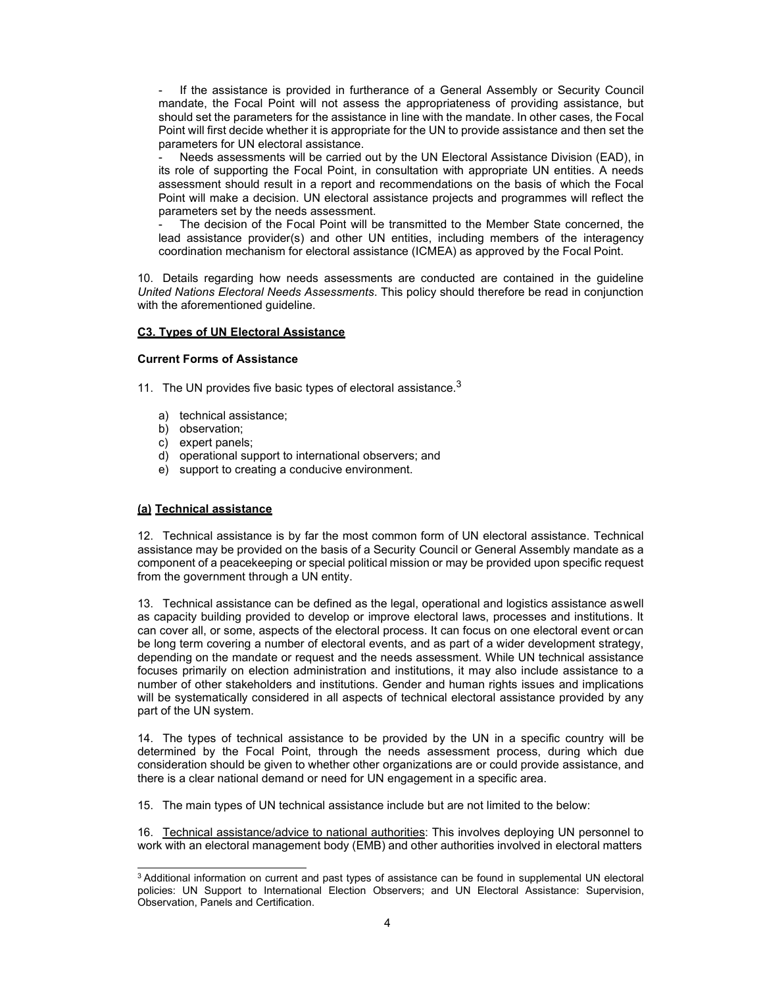If the assistance is provided in furtherance of a General Assembly or Security Council mandate, the Focal Point will not assess the appropriateness of providing assistance, but should set the parameters for the assistance in line with the mandate. In other cases*,* the Focal Point will first decide whether it is appropriate for the UN to provide assistance and then set the parameters for UN electoral assistance.

Needs assessments will be carried out by the UN Electoral Assistance Division (EAD), in its role of supporting the Focal Point, in consultation with appropriate UN entities. A needs assessment should result in a report and recommendations on the basis of which the Focal Point will make a decision. UN electoral assistance projects and programmes will reflect the parameters set by the needs assessment.

The decision of the Focal Point will be transmitted to the Member State concerned, the lead assistance provider(s) and other UN entities, including members of the interagency coordination mechanism for electoral assistance (ICMEA) as approved by the Focal Point.

10. Details regarding how needs assessments are conducted are contained in the guideline *United Nations Electoral Needs Assessments*. This policy should therefore be read in conjunction with the aforementioned guideline.

#### **C3. Types of UN Electoral Assistance**

#### **Current Forms of Assistance**

- 11. The UN provides five basic types of electoral assistance.<sup>3</sup>
	- a) technical assistance;
	- b) observation;
	- c) expert panels;
	- d) operational support to international observers; and
	- e) support to creating a conducive environment.

#### **(a) Technical assistance**

12. Technical assistance is by far the most common form of UN electoral assistance. Technical assistance may be provided on the basis of a Security Council or General Assembly mandate as a component of a peacekeeping or special political mission or may be provided upon specific request from the government through a UN entity.

13. Technical assistance can be defined as the legal, operational and logistics assistance as well as capacity building provided to develop or improve electoral laws, processes and institutions. It can cover all, or some, aspects of the electoral process. It can focus on one electoral event or can be long term covering a number of electoral events, and as part of a wider development strategy, depending on the mandate or request and the needs assessment. While UN technical assistance focuses primarily on election administration and institutions, it may also include assistance to a number of other stakeholders and institutions. Gender and human rights issues and implications will be systematically considered in all aspects of technical electoral assistance provided by any part of the UN system.

14. The types of technical assistance to be provided by the UN in a specific country will be determined by the Focal Point, through the needs assessment process, during which due consideration should be given to whether other organizations are or could provide assistance, and there is a clear national demand or need for UN engagement in a specific area.

15. The main types of UN technical assistance include but are not limited to the below:

16. Technical assistance/advice to national authorities: This involves deploying UN personnel to work with an electoral management body (EMB) and other authorities involved in electoral matters

<sup>&</sup>lt;sup>3</sup> Additional information on current and past types of assistance can be found in supplemental UN electoral policies: UN Support to International Election Observers; and UN Electoral Assistance: Supervision, Observation, Panels and Certification.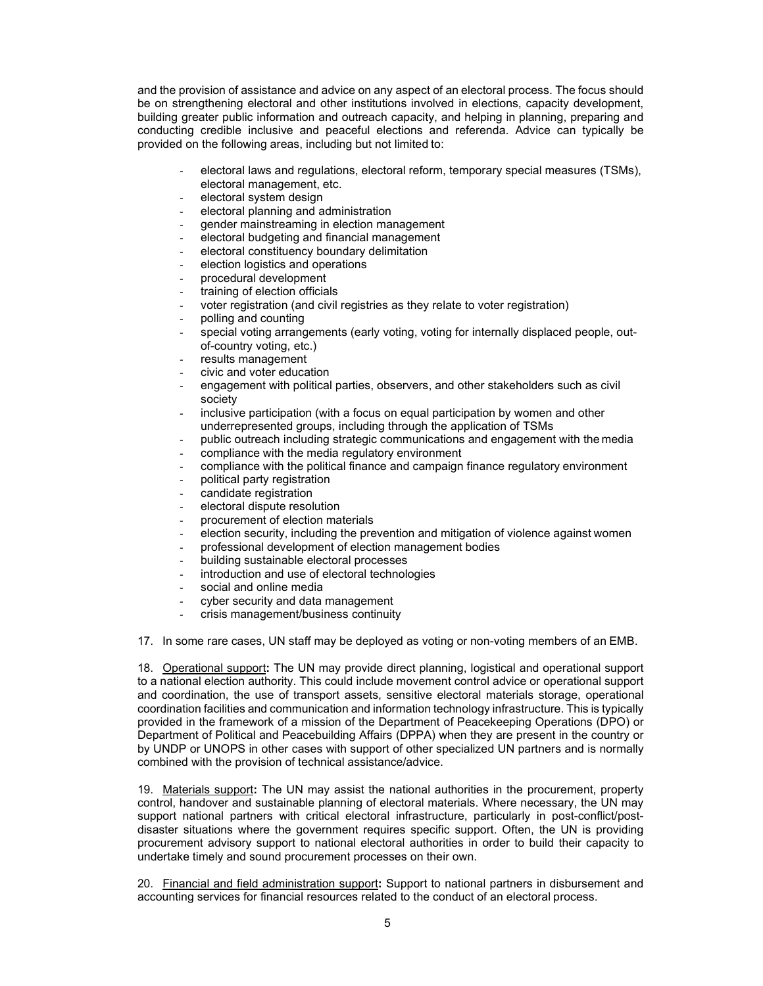and the provision of assistance and advice on any aspect of an electoral process. The focus should be on strengthening electoral and other institutions involved in elections, capacity development, building greater public information and outreach capacity, and helping in planning, preparing and conducting credible inclusive and peaceful elections and referenda. Advice can typically be provided on the following areas, including but not limited to:

- electoral laws and regulations, electoral reform, temporary special measures (TSMs), electoral management, etc.
- electoral system design
- electoral planning and administration
- gender mainstreaming in election management
- electoral budgeting and financial management
- electoral constituency boundary delimitation
- election logistics and operations
- procedural development
- training of election officials
- voter registration (and civil registries as they relate to voter registration)
- polling and counting
- special voting arrangements (early voting, voting for internally displaced people, outof-country voting, etc.)
- results management
- civic and voter education
- engagement with political parties, observers, and other stakeholders such as civil society
- inclusive participation (with a focus on equal participation by women and other underrepresented groups, including through the application of TSMs
- public outreach including strategic communications and engagement with the media
- compliance with the media regulatory environment
- compliance with the political finance and campaign finance regulatory environment
- political party registration
- candidate registration
- electoral dispute resolution
- procurement of election materials
- election security, including the prevention and mitigation of violence against women
- professional development of election management bodies
- building sustainable electoral processes
- introduction and use of electoral technologies
- social and online media
- cyber security and data management
- crisis management/business continuity

17. In some rare cases, UN staff may be deployed as voting or non-voting members of an EMB.

18. Operational support**:** The UN may provide direct planning, logistical and operational support to a national election authority. This could include movement control advice or operational support and coordination, the use of transport assets, sensitive electoral materials storage, operational coordination facilities and communication and information technology infrastructure. This is typically provided in the framework of a mission of the Department of Peacekeeping Operations (DPO) or Department of Political and Peacebuilding Affairs (DPPA) when they are present in the country or by UNDP or UNOPS in other cases with support of other specialized UN partners and is normally combined with the provision of technical assistance/advice.

19. Materials support**:** The UN may assist the national authorities in the procurement, property control, handover and sustainable planning of electoral materials. Where necessary, the UN may support national partners with critical electoral infrastructure, particularly in post-conflict/postdisaster situations where the government requires specific support. Often, the UN is providing procurement advisory support to national electoral authorities in order to build their capacity to undertake timely and sound procurement processes on their own.

20. Financial and field administration support**:** Support to national partners in disbursement and accounting services for financial resources related to the conduct of an electoral process.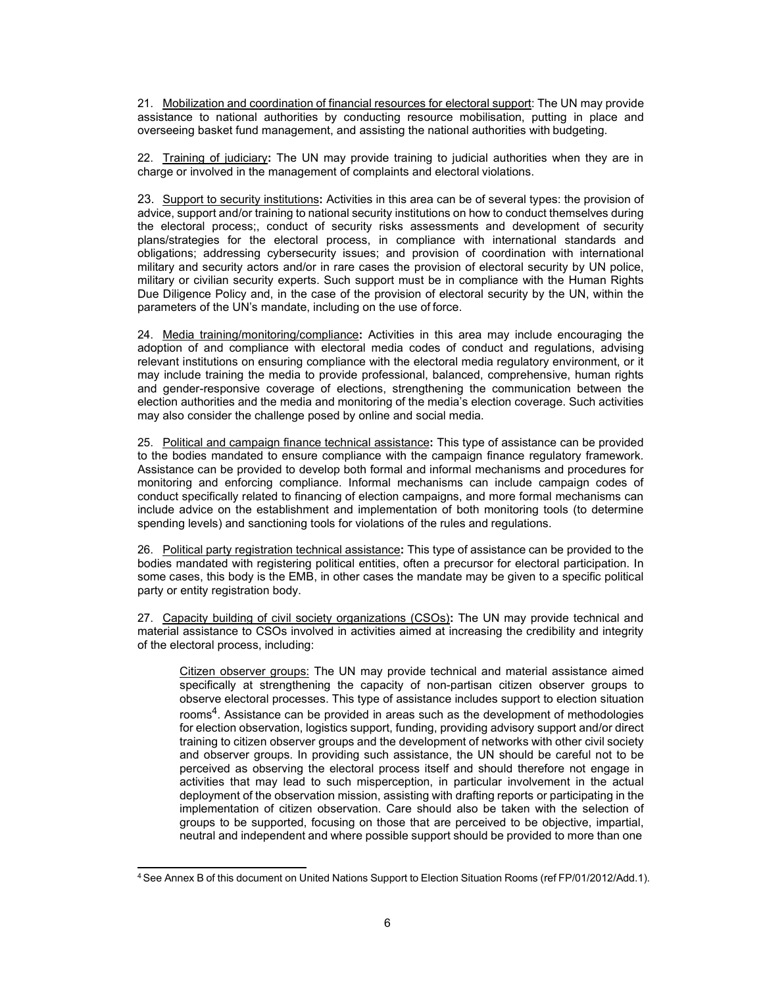21. Mobilization and coordination of financial resources for electoral support: The UN may provide assistance to national authorities by conducting resource mobilisation, putting in place and overseeing basket fund management, and assisting the national authorities with budgeting.

22. Training of judiciary**:** The UN may provide training to judicial authorities when they are in charge or involved in the management of complaints and electoral violations.

23. Support to security institutions**:** Activities in this area can be of several types: the provision of advice, support and/or training to national security institutions on how to conduct themselves during the electoral process;, conduct of security risks assessments and development of security plans/strategies for the electoral process, in compliance with international standards and obligations; addressing cybersecurity issues; and provision of coordination with international military and security actors and/or in rare cases the provision of electoral security by UN police, military or civilian security experts. Such support must be in compliance with the Human Rights Due Diligence Policy and, in the case of the provision of electoral security by the UN, within the parameters of the UN's mandate, including on the use of force.

24. Media training/monitoring/compliance**:** Activities in this area may include encouraging the adoption of and compliance with electoral media codes of conduct and regulations, advising relevant institutions on ensuring compliance with the electoral media regulatory environment, or it may include training the media to provide professional, balanced, comprehensive, human rights and gender-responsive coverage of elections, strengthening the communication between the election authorities and the media and monitoring of the media's election coverage. Such activities may also consider the challenge posed by online and social media.

25. Political and campaign finance technical assistance**:** This type of assistance can be provided to the bodies mandated to ensure compliance with the campaign finance regulatory framework. Assistance can be provided to develop both formal and informal mechanisms and procedures for monitoring and enforcing compliance. Informal mechanisms can include campaign codes of conduct specifically related to financing of election campaigns, and more formal mechanisms can include advice on the establishment and implementation of both monitoring tools (to determine spending levels) and sanctioning tools for violations of the rules and regulations.

26. Political party registration technical assistance**:** This type of assistance can be provided to the bodies mandated with registering political entities, often a precursor for electoral participation. In some cases, this body is the EMB, in other cases the mandate may be given to a specific political party or entity registration body.

27. Capacity building of civil society organizations (CSOs)**:** The UN may provide technical and material assistance to CSOs involved in activities aimed at increasing the credibility and integrity of the electoral process, including:

Citizen observer groups: The UN may provide technical and material assistance aimed specifically at strengthening the capacity of non-partisan citizen observer groups to observe electoral processes. This type of assistance includes support to election situation rooms<sup>4</sup>. Assistance can be provided in areas such as the development of methodologies for election observation, logistics support, funding, providing advisory support and/or direct training to citizen observer groups and the development of networks with other civil society and observer groups. In providing such assistance, the UN should be careful not to be perceived as observing the electoral process itself and should therefore not engage in activities that may lead to such misperception, in particular involvement in the actual deployment of the observation mission, assisting with drafting reports or participating in the implementation of citizen observation. Care should also be taken with the selection of groups to be supported, focusing on those that are perceived to be objective, impartial, neutral and independent and where possible support should be provided to more than one

<sup>4</sup> See Annex B of this document on United Nations Support to Election Situation Rooms (ref FP/01/2012/Add.1).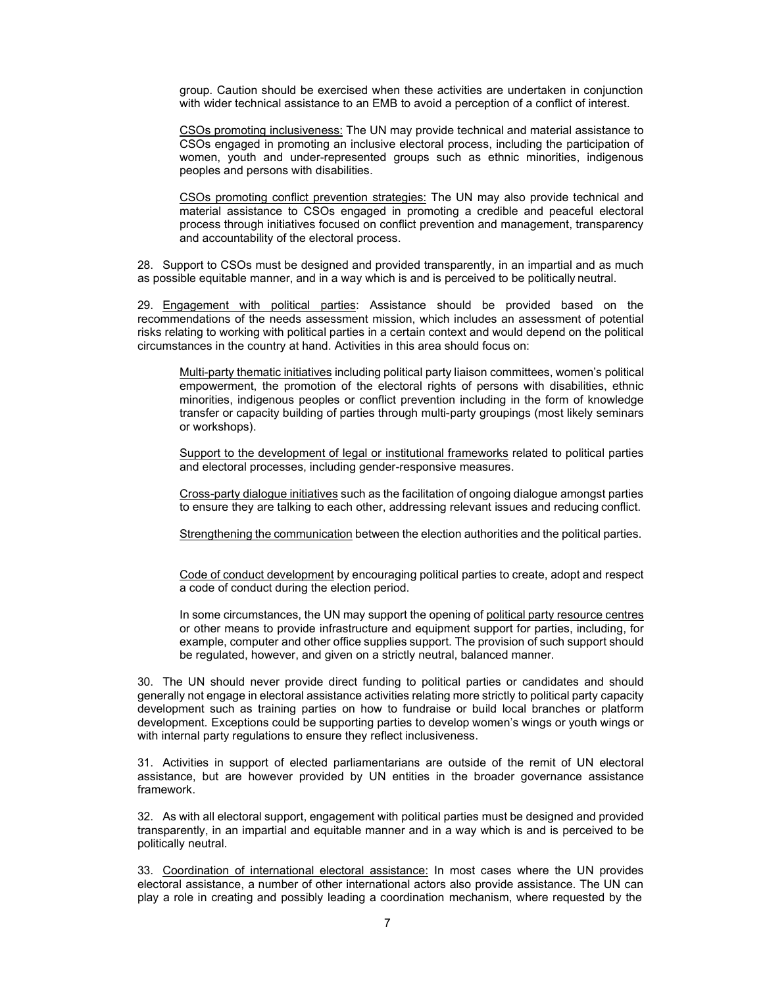group. Caution should be exercised when these activities are undertaken in conjunction with wider technical assistance to an EMB to avoid a perception of a conflict of interest.

CSOs promoting inclusiveness: The UN may provide technical and material assistance to CSOs engaged in promoting an inclusive electoral process, including the participation of women, youth and under-represented groups such as ethnic minorities, indigenous peoples and persons with disabilities.

CSOs promoting conflict prevention strategies: The UN may also provide technical and material assistance to CSOs engaged in promoting a credible and peaceful electoral process through initiatives focused on conflict prevention and management, transparency and accountability of the electoral process.

28. Support to CSOs must be designed and provided transparently, in an impartial and as much as possible equitable manner, and in a way which is and is perceived to be politically neutral.

29. Engagement with political parties: Assistance should be provided based on the recommendations of the needs assessment mission, which includes an assessment of potential risks relating to working with political parties in a certain context and would depend on the political circumstances in the country at hand. Activities in this area should focus on:

Multi-party thematic initiatives including political party liaison committees, women's political empowerment, the promotion of the electoral rights of persons with disabilities, ethnic minorities, indigenous peoples or conflict prevention including in the form of knowledge transfer or capacity building of parties through multi-party groupings (most likely seminars or workshops).

Support to the development of legal or institutional frameworks related to political parties and electoral processes, including gender-responsive measures.

Cross-party dialogue initiatives such as the facilitation of ongoing dialogue amongst parties to ensure they are talking to each other, addressing relevant issues and reducing conflict.

Strengthening the communication between the election authorities and the political parties.

Code of conduct development by encouraging political parties to create, adopt and respect a code of conduct during the election period.

In some circumstances, the UN may support the opening of political party resource centres or other means to provide infrastructure and equipment support for parties, including, for example, computer and other office supplies support. The provision of such support should be regulated, however, and given on a strictly neutral, balanced manner.

30. The UN should never provide direct funding to political parties or candidates and should generally not engage in electoral assistance activities relating more strictly to political party capacity development such as training parties on how to fundraise or build local branches or platform development. Exceptions could be supporting parties to develop women's wings or youth wings or with internal party regulations to ensure they reflect inclusiveness.

31. Activities in support of elected parliamentarians are outside of the remit of UN electoral assistance, but are however provided by UN entities in the broader governance assistance framework.

32. As with all electoral support, engagement with political parties must be designed and provided transparently, in an impartial and equitable manner and in a way which is and is perceived to be politically neutral.

33. Coordination of international electoral assistance: In most cases where the UN provides electoral assistance, a number of other international actors also provide assistance. The UN can play a role in creating and possibly leading a coordination mechanism, where requested by the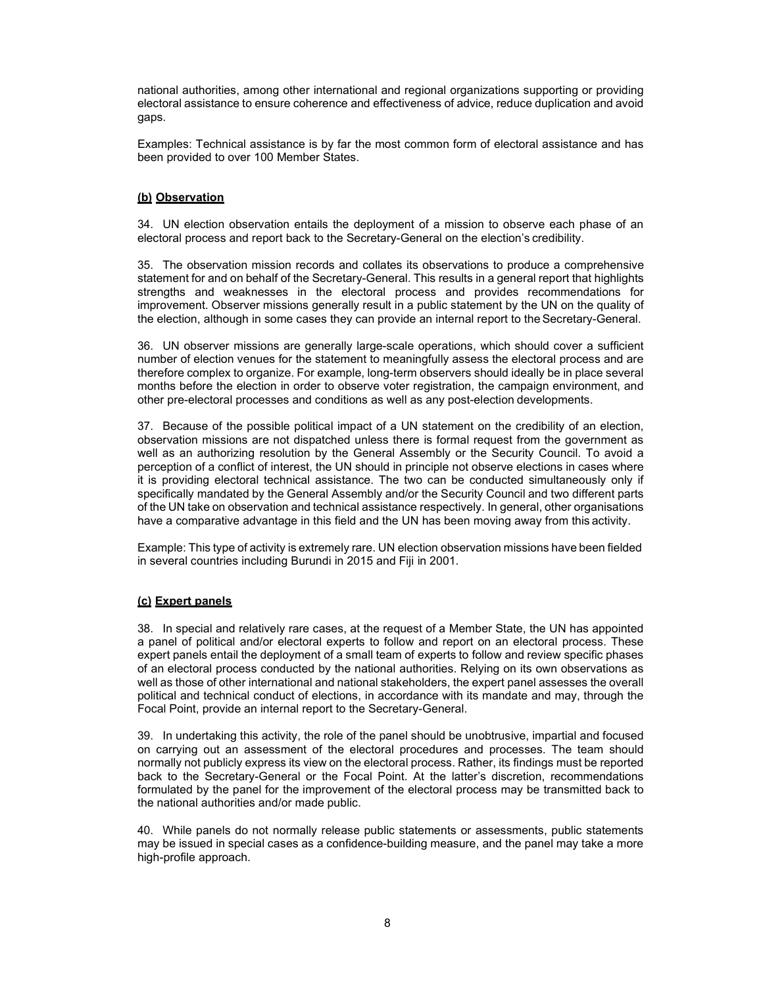national authorities, among other international and regional organizations supporting or providing electoral assistance to ensure coherence and effectiveness of advice, reduce duplication and avoid gaps.

Examples: Technical assistance is by far the most common form of electoral assistance and has been provided to over 100 Member States.

# **(b) Observation**

34. UN election observation entails the deployment of a mission to observe each phase of an electoral process and report back to the Secretary-General on the election's credibility.

35. The observation mission records and collates its observations to produce a comprehensive statement for and on behalf of the Secretary-General. This results in a general report that highlights strengths and weaknesses in the electoral process and provides recommendations for improvement. Observer missions generally result in a public statement by the UN on the quality of the election, although in some cases they can provide an internal report to the Secretary-General.

36. UN observer missions are generally large-scale operations, which should cover a sufficient number of election venues for the statement to meaningfully assess the electoral process and are therefore complex to organize. For example, long-term observers should ideally be in place several months before the election in order to observe voter registration, the campaign environment, and other pre-electoral processes and conditions as well as any post-election developments.

37. Because of the possible political impact of a UN statement on the credibility of an election, observation missions are not dispatched unless there is formal request from the government as well as an authorizing resolution by the General Assembly or the Security Council. To avoid a perception of a conflict of interest, the UN should in principle not observe elections in cases where it is providing electoral technical assistance. The two can be conducted simultaneously only if specifically mandated by the General Assembly and/or the Security Council and two different parts of the UN take on observation and technical assistance respectively. In general, other organisations have a comparative advantage in this field and the UN has been moving away from this activity.

Example: This type of activity is extremely rare. UN election observation missions have been fielded in several countries including Burundi in 2015 and Fiji in 2001.

#### **(c) Expert panels**

38. In special and relatively rare cases, at the request of a Member State, the UN has appointed a panel of political and/or electoral experts to follow and report on an electoral process. These expert panels entail the deployment of a small team of experts to follow and review specific phases of an electoral process conducted by the national authorities. Relying on its own observations as well as those of other international and national stakeholders, the expert panel assesses the overall political and technical conduct of elections, in accordance with its mandate and may, through the Focal Point, provide an internal report to the Secretary-General.

39. In undertaking this activity, the role of the panel should be unobtrusive, impartial and focused on carrying out an assessment of the electoral procedures and processes. The team should normally not publicly express its view on the electoral process. Rather, its findings must be reported back to the Secretary-General or the Focal Point. At the latter's discretion, recommendations formulated by the panel for the improvement of the electoral process may be transmitted back to the national authorities and/or made public.

40. While panels do not normally release public statements or assessments, public statements may be issued in special cases as a confidence-building measure, and the panel may take a more high-profile approach.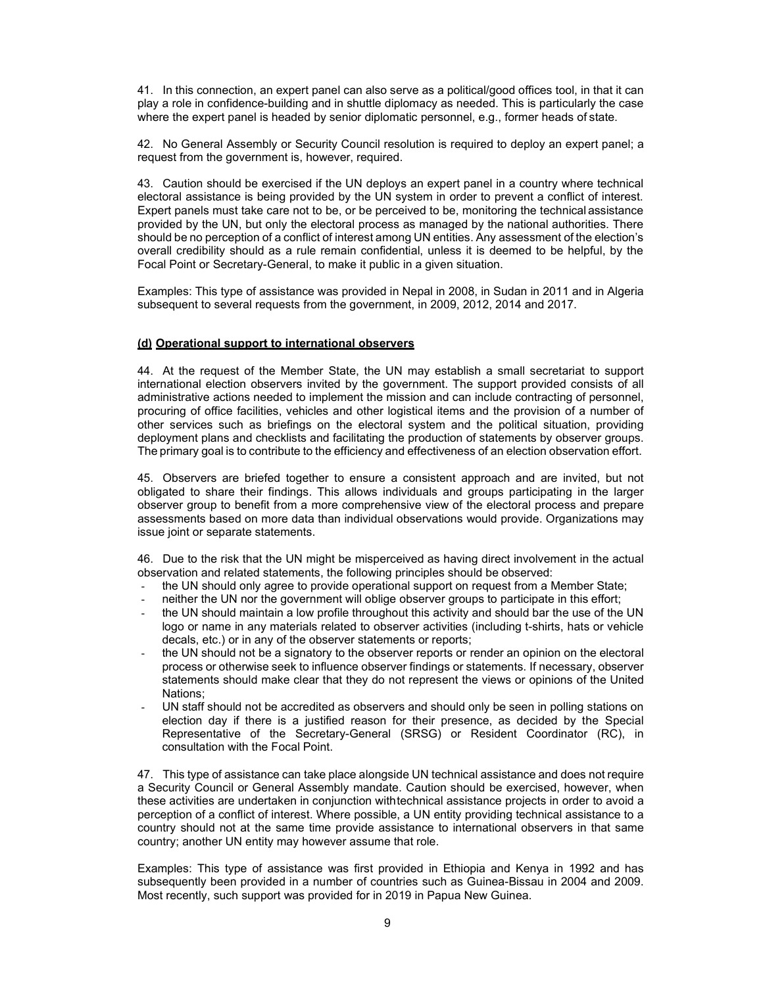41. In this connection, an expert panel can also serve as a political/good offices tool, in that it can play a role in confidence-building and in shuttle diplomacy as needed. This is particularly the case where the expert panel is headed by senior diplomatic personnel, e.g., former heads of state.

42. No General Assembly or Security Council resolution is required to deploy an expert panel; a request from the government is, however, required.

43. Caution should be exercised if the UN deploys an expert panel in a country where technical electoral assistance is being provided by the UN system in order to prevent a conflict of interest. Expert panels must take care not to be, or be perceived to be, monitoring the technical assistance provided by the UN, but only the electoral process as managed by the national authorities. There should be no perception of a conflict of interest among UN entities. Any assessment of the election's overall credibility should as a rule remain confidential, unless it is deemed to be helpful, by the Focal Point or Secretary-General, to make it public in a given situation.

Examples: This type of assistance was provided in Nepal in 2008, in Sudan in 2011 and in Algeria subsequent to several requests from the government, in 2009, 2012, 2014 and 2017.

#### **(d) Operational support to international observers**

44. At the request of the Member State, the UN may establish a small secretariat to support international election observers invited by the government. The support provided consists of all administrative actions needed to implement the mission and can include contracting of personnel, procuring of office facilities, vehicles and other logistical items and the provision of a number of other services such as briefings on the electoral system and the political situation, providing deployment plans and checklists and facilitating the production of statements by observer groups. The primary goal is to contribute to the efficiency and effectiveness of an election observation effort.

45. Observers are briefed together to ensure a consistent approach and are invited, but not obligated to share their findings. This allows individuals and groups participating in the larger observer group to benefit from a more comprehensive view of the electoral process and prepare assessments based on more data than individual observations would provide. Organizations may issue joint or separate statements.

46. Due to the risk that the UN might be misperceived as having direct involvement in the actual observation and related statements, the following principles should be observed:

- the UN should only agree to provide operational support on request from a Member State;
- neither the UN nor the government will oblige observer groups to participate in this effort;
- the UN should maintain a low profile throughout this activity and should bar the use of the UN logo or name in any materials related to observer activities (including t-shirts, hats or vehicle decals, etc.) or in any of the observer statements or reports;
- the UN should not be a signatory to the observer reports or render an opinion on the electoral process or otherwise seek to influence observer findings or statements. If necessary, observer statements should make clear that they do not represent the views or opinions of the United Nations;
- UN staff should not be accredited as observers and should only be seen in polling stations on election day if there is a justified reason for their presence, as decided by the Special Representative of the Secretary-General (SRSG) or Resident Coordinator (RC), in consultation with the Focal Point.

47. This type of assistance can take place alongside UN technical assistance and does not require a Security Council or General Assembly mandate. Caution should be exercised, however, when these activities are undertaken in conjunction with technical assistance projects in order to avoid a perception of a conflict of interest. Where possible, a UN entity providing technical assistance to a country should not at the same time provide assistance to international observers in that same country; another UN entity may however assume that role.

Examples: This type of assistance was first provided in Ethiopia and Kenya in 1992 and has subsequently been provided in a number of countries such as Guinea-Bissau in 2004 and 2009. Most recently, such support was provided for in 2019 in Papua New Guinea.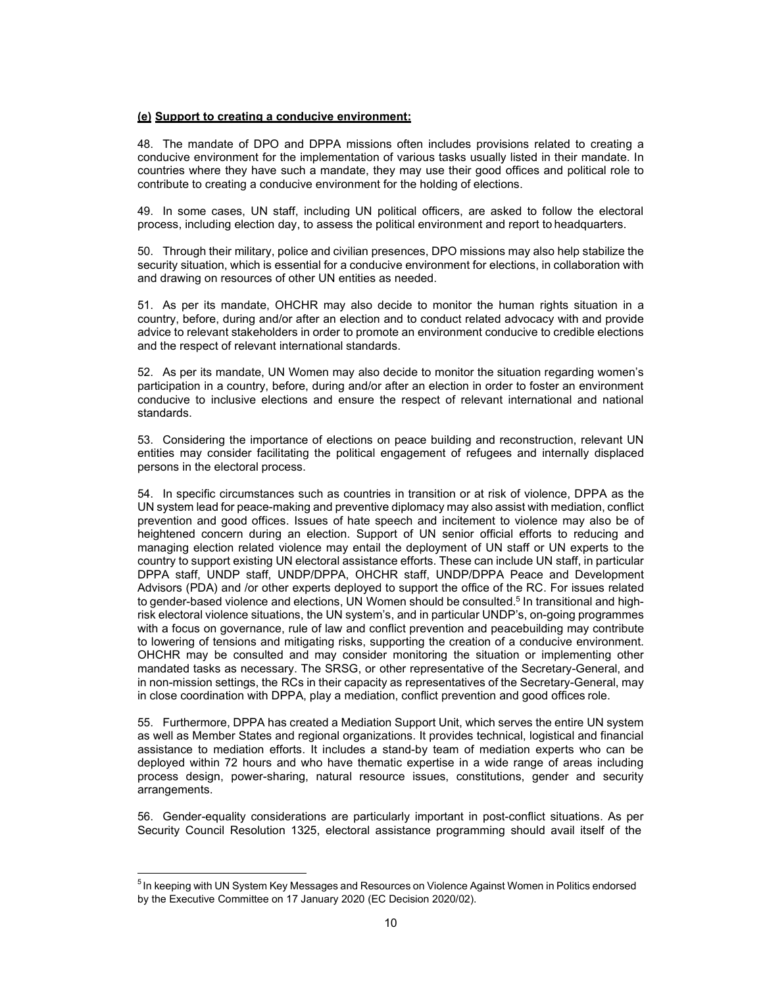#### **(e) Support to creating a conducive environment:**

48. The mandate of DPO and DPPA missions often includes provisions related to creating a conducive environment for the implementation of various tasks usually listed in their mandate. In countries where they have such a mandate, they may use their good offices and political role to contribute to creating a conducive environment for the holding of elections.

49. In some cases, UN staff, including UN political officers, are asked to follow the electoral process, including election day, to assess the political environment and report to headquarters.

50. Through their military, police and civilian presences, DPO missions may also help stabilize the security situation, which is essential for a conducive environment for elections, in collaboration with and drawing on resources of other UN entities as needed.

51. As per its mandate, OHCHR may also decide to monitor the human rights situation in a country, before, during and/or after an election and to conduct related advocacy with and provide advice to relevant stakeholders in order to promote an environment conducive to credible elections and the respect of relevant international standards.

52. As per its mandate, UN Women may also decide to monitor the situation regarding women's participation in a country, before, during and/or after an election in order to foster an environment conducive to inclusive elections and ensure the respect of relevant international and national standards.

53. Considering the importance of elections on peace building and reconstruction, relevant UN entities may consider facilitating the political engagement of refugees and internally displaced persons in the electoral process.

54. In specific circumstances such as countries in transition or at risk of violence, DPPA as the UN system lead for peace-making and preventive diplomacy may also assist with mediation, conflict prevention and good offices. Issues of hate speech and incitement to violence may also be of heightened concern during an election. Support of UN senior official efforts to reducing and managing election related violence may entail the deployment of UN staff or UN experts to the country to support existing UN electoral assistance efforts. These can include UN staff, in particular DPPA staff, UNDP staff, UNDP/DPPA, OHCHR staff, UNDP/DPPA Peace and Development Advisors (PDA) and /or other experts deployed to support the office of the RC. For issues related to gender-based violence and elections, UN Women should be consulted.<sup>5</sup> In transitional and highrisk electoral violence situations, the UN system's, and in particular UNDP's, on-going programmes with a focus on governance, rule of law and conflict prevention and peacebuilding may contribute to lowering of tensions and mitigating risks, supporting the creation of a conducive environment. OHCHR may be consulted and may consider monitoring the situation or implementing other mandated tasks as necessary. The SRSG, or other representative of the Secretary-General, and in non-mission settings, the RCs in their capacity as representatives of the Secretary-General, may in close coordination with DPPA, play a mediation, conflict prevention and good offices role.

55. Furthermore, DPPA has created a Mediation Support Unit, which serves the entire UN system as well as Member States and regional organizations. It provides technical, logistical and financial assistance to mediation efforts. It includes a stand-by team of mediation experts who can be deployed within 72 hours and who have thematic expertise in a wide range of areas including process design, power-sharing, natural resource issues, constitutions, gender and security arrangements.

56. Gender-equality considerations are particularly important in post-conflict situations. As per Security Council Resolution 1325, electoral assistance programming should avail itself of the

 $5$ In keeping with UN System Key Messages and Resources on Violence Against Women in Politics endorsed by the Executive Committee on 17 January 2020 (EC Decision 2020/02).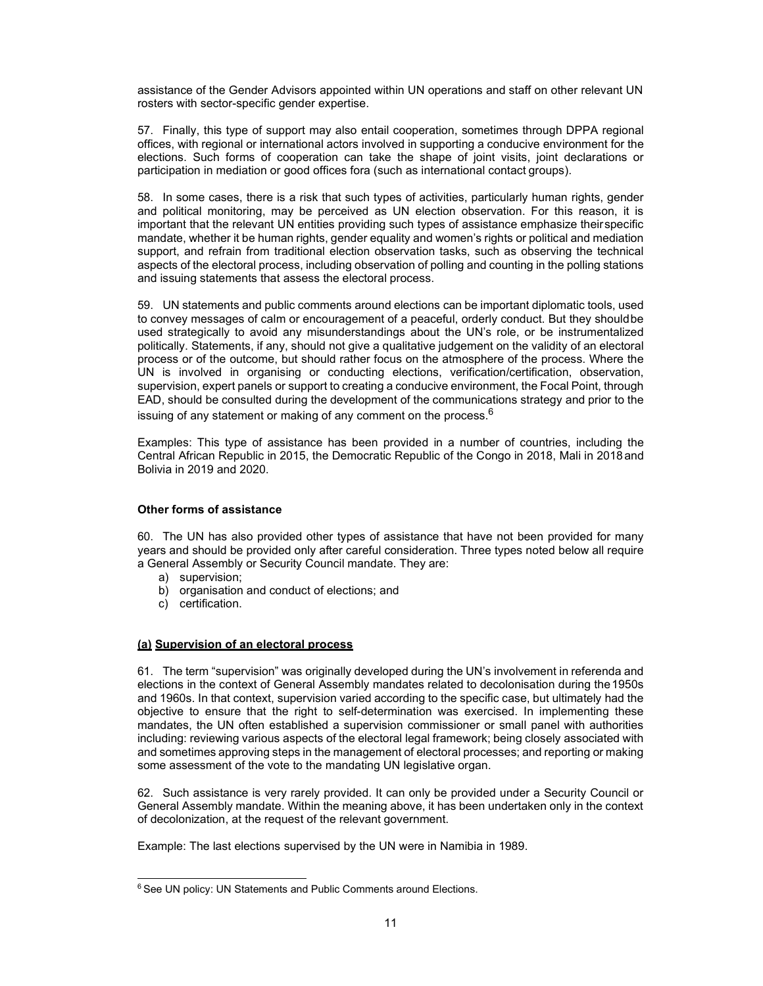assistance of the Gender Advisors appointed within UN operations and staff on other relevant UN rosters with sector-specific gender expertise.

57. Finally, this type of support may also entail cooperation, sometimes through DPPA regional offices, with regional or international actors involved in supporting a conducive environment for the elections. Such forms of cooperation can take the shape of joint visits, joint declarations or participation in mediation or good offices fora (such as international contact groups).

58. In some cases, there is a risk that such types of activities, particularly human rights, gender and political monitoring, may be perceived as UN election observation. For this reason, it is important that the relevant UN entities providing such types of assistance emphasize their specific mandate, whether it be human rights, gender equality and women's rights or political and mediation support, and refrain from traditional election observation tasks, such as observing the technical aspects of the electoral process, including observation of polling and counting in the polling stations and issuing statements that assess the electoral process.

59. UN statements and public comments around elections can be important diplomatic tools, used to convey messages of calm or encouragement of a peaceful, orderly conduct. But they should be used strategically to avoid any misunderstandings about the UN's role, or be instrumentalized politically. Statements, if any, should not give a qualitative judgement on the validity of an electoral process or of the outcome, but should rather focus on the atmosphere of the process. Where the UN is involved in organising or conducting elections, verification/certification, observation, supervision, expert panels or support to creating a conducive environment, the Focal Point, through EAD, should be consulted during the development of the communications strategy and prior to the issuing of any statement or making of any comment on the process.  $6$ 

Examples: This type of assistance has been provided in a number of countries, including the Central African Republic in 2015, the Democratic Republic of the Congo in 2018, Mali in 2018 and Bolivia in 2019 and 2020.

#### **Other forms of assistance**

60. The UN has also provided other types of assistance that have not been provided for many years and should be provided only after careful consideration. Three types noted below all require a General Assembly or Security Council mandate. They are:

- a) supervision;
- b) organisation and conduct of elections; and
- c) certification.

#### **(a) Supervision of an electoral process**

61. The term "supervision" was originally developed during the UN's involvement in referenda and elections in the context of General Assembly mandates related to decolonisation during the 1950s and 1960s. In that context, supervision varied according to the specific case, but ultimately had the objective to ensure that the right to self-determination was exercised. In implementing these mandates, the UN often established a supervision commissioner or small panel with authorities including: reviewing various aspects of the electoral legal framework; being closely associated with and sometimes approving steps in the management of electoral processes; and reporting or making some assessment of the vote to the mandating UN legislative organ.

62. Such assistance is very rarely provided. It can only be provided under a Security Council or General Assembly mandate. Within the meaning above, it has been undertaken only in the context of decolonization, at the request of the relevant government.

Example: The last elections supervised by the UN were in Namibia in 1989.

 $6$  See UN policy: UN Statements and Public Comments around Elections.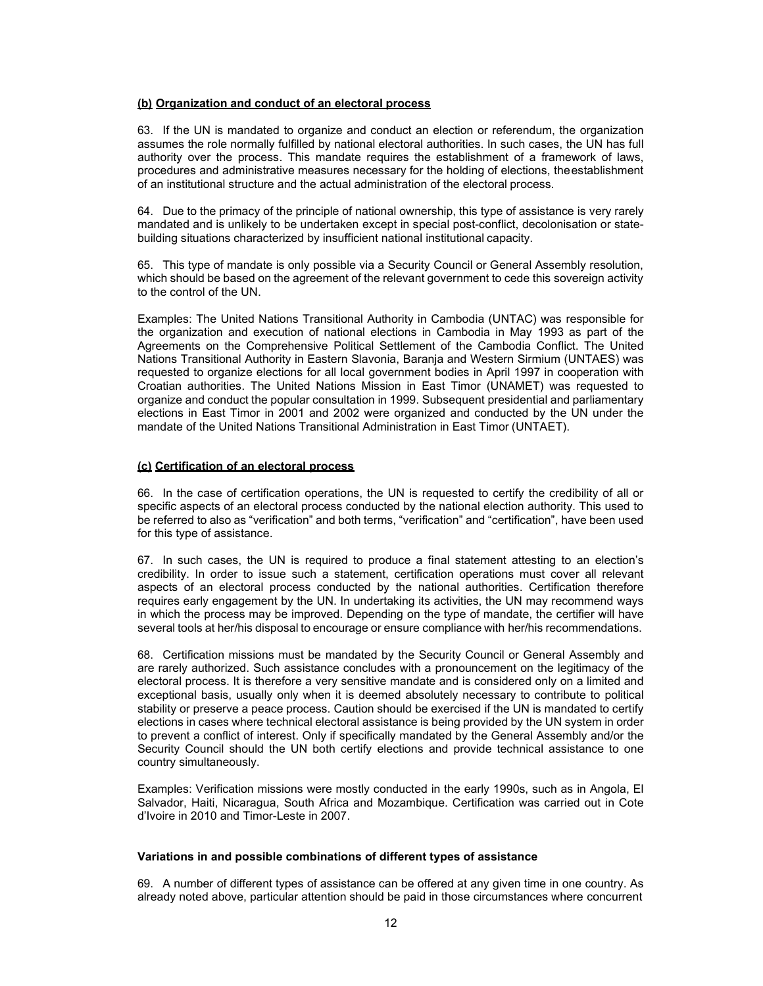#### **(b) Organization and conduct of an electoral process**

63. If the UN is mandated to organize and conduct an election or referendum, the organization assumes the role normally fulfilled by national electoral authorities. In such cases, the UN has full authority over the process. This mandate requires the establishment of a framework of laws, procedures and administrative measures necessary for the holding of elections, the establishment of an institutional structure and the actual administration of the electoral process.

64. Due to the primacy of the principle of national ownership, this type of assistance is very rarely mandated and is unlikely to be undertaken except in special post-conflict, decolonisation or statebuilding situations characterized by insufficient national institutional capacity.

65. This type of mandate is only possible via a Security Council or General Assembly resolution, which should be based on the agreement of the relevant government to cede this sovereign activity to the control of the UN.

Examples: The United Nations Transitional Authority in Cambodia (UNTAC) was responsible for the organization and execution of national elections in Cambodia in May 1993 as part of the Agreements on the Comprehensive Political Settlement of the Cambodia Conflict. The United Nations Transitional Authority in Eastern Slavonia, Baranja and Western Sirmium (UNTAES) was requested to organize elections for all local government bodies in April 1997 in cooperation with Croatian authorities. The United Nations Mission in East Timor (UNAMET) was requested to organize and conduct the popular consultation in 1999. Subsequent presidential and parliamentary elections in East Timor in 2001 and 2002 were organized and conducted by the UN under the mandate of the United Nations Transitional Administration in East Timor (UNTAET).

#### **(c) Certification of an electoral process**

66. In the case of certification operations, the UN is requested to certify the credibility of all or specific aspects of an electoral process conducted by the national election authority. This used to be referred to also as "verification" and both terms, "verification" and "certification", have been used for this type of assistance.

67. In such cases, the UN is required to produce a final statement attesting to an election's credibility. In order to issue such a statement, certification operations must cover all relevant aspects of an electoral process conducted by the national authorities. Certification therefore requires early engagement by the UN. In undertaking its activities, the UN may recommend ways in which the process may be improved. Depending on the type of mandate, the certifier will have several tools at her/his disposal to encourage or ensure compliance with her/his recommendations.

68. Certification missions must be mandated by the Security Council or General Assembly and are rarely authorized. Such assistance concludes with a pronouncement on the legitimacy of the electoral process. It is therefore a very sensitive mandate and is considered only on a limited and exceptional basis, usually only when it is deemed absolutely necessary to contribute to political stability or preserve a peace process. Caution should be exercised if the UN is mandated to certify elections in cases where technical electoral assistance is being provided by the UN system in order to prevent a conflict of interest. Only if specifically mandated by the General Assembly and/or the Security Council should the UN both certify elections and provide technical assistance to one country simultaneously.

Examples: Verification missions were mostly conducted in the early 1990s, such as in Angola, El Salvador, Haiti, Nicaragua, South Africa and Mozambique. Certification was carried out in Cote d'Ivoire in 2010 and Timor-Leste in 2007.

#### **Variations in and possible combinations of different types of assistance**

69. A number of different types of assistance can be offered at any given time in one country. As already noted above, particular attention should be paid in those circumstances where concurrent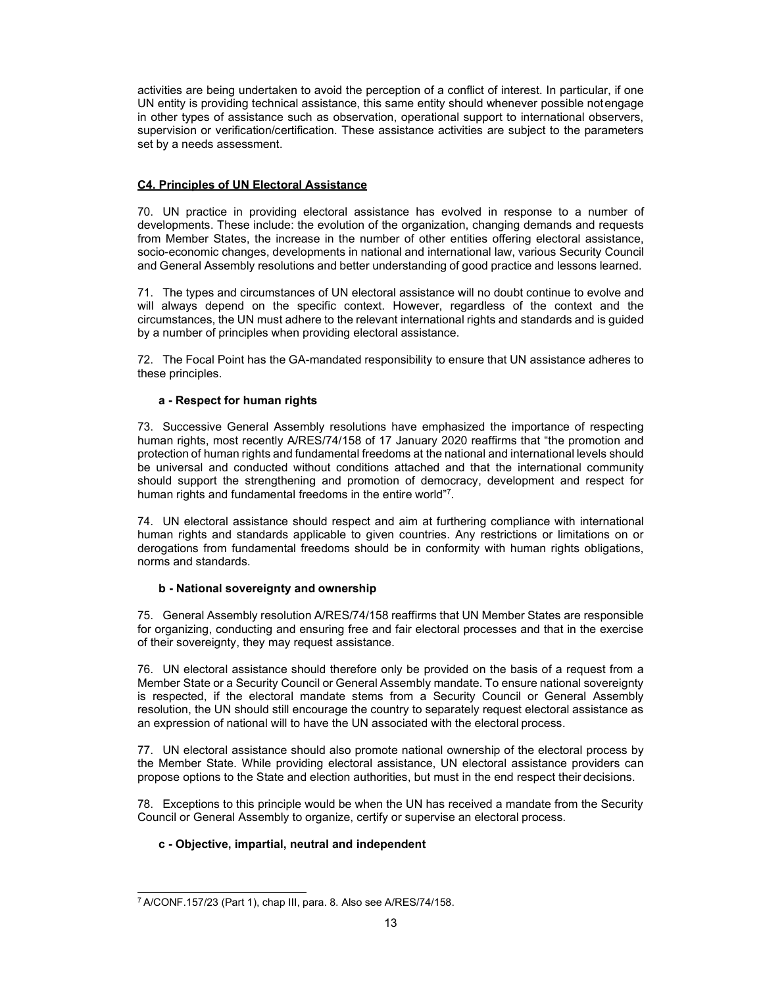activities are being undertaken to avoid the perception of a conflict of interest. In particular, if one UN entity is providing technical assistance, this same entity should whenever possible not engage in other types of assistance such as observation, operational support to international observers, supervision or verification/certification. These assistance activities are subject to the parameters set by a needs assessment.

# **C4. Principles of UN Electoral Assistance**

70. UN practice in providing electoral assistance has evolved in response to a number of developments. These include: the evolution of the organization, changing demands and requests from Member States, the increase in the number of other entities offering electoral assistance, socio-economic changes, developments in national and international law, various Security Council and General Assembly resolutions and better understanding of good practice and lessons learned.

71. The types and circumstances of UN electoral assistance will no doubt continue to evolve and will always depend on the specific context. However, regardless of the context and the circumstances, the UN must adhere to the relevant international rights and standards and is guided by a number of principles when providing electoral assistance.

72. The Focal Point has the GA-mandated responsibility to ensure that UN assistance adheres to these principles.

### **a - Respect for human rights**

73. Successive General Assembly resolutions have emphasized the importance of respecting human rights, most recently A/RES/74/158 of 17 January 2020 reaffirms that "the promotion and protection of human rights and fundamental freedoms at the national and international levels should be universal and conducted without conditions attached and that the international community should support the strengthening and promotion of democracy, development and respect for human rights and fundamental freedoms in the entire world"7.

74. UN electoral assistance should respect and aim at furthering compliance with international human rights and standards applicable to given countries. Any restrictions or limitations on or derogations from fundamental freedoms should be in conformity with human rights obligations, norms and standards.

#### **b - National sovereignty and ownership**

75. General Assembly resolution A/RES/74/158 reaffirms that UN Member States are responsible for organizing, conducting and ensuring free and fair electoral processes and that in the exercise of their sovereignty, they may request assistance.

76. UN electoral assistance should therefore only be provided on the basis of a request from a Member State or a Security Council or General Assembly mandate. To ensure national sovereignty is respected, if the electoral mandate stems from a Security Council or General Assembly resolution, the UN should still encourage the country to separately request electoral assistance as an expression of national will to have the UN associated with the electoral process.

77. UN electoral assistance should also promote national ownership of the electoral process by the Member State. While providing electoral assistance, UN electoral assistance providers can propose options to the State and election authorities, but must in the end respect their decisions.

78. Exceptions to this principle would be when the UN has received a mandate from the Security Council or General Assembly to organize, certify or supervise an electoral process.

# **c - Objective, impartial, neutral and independent**

<sup>7</sup> A/CONF.157/23 (Part 1), chap III, para. 8. Also see A/RES/74/158.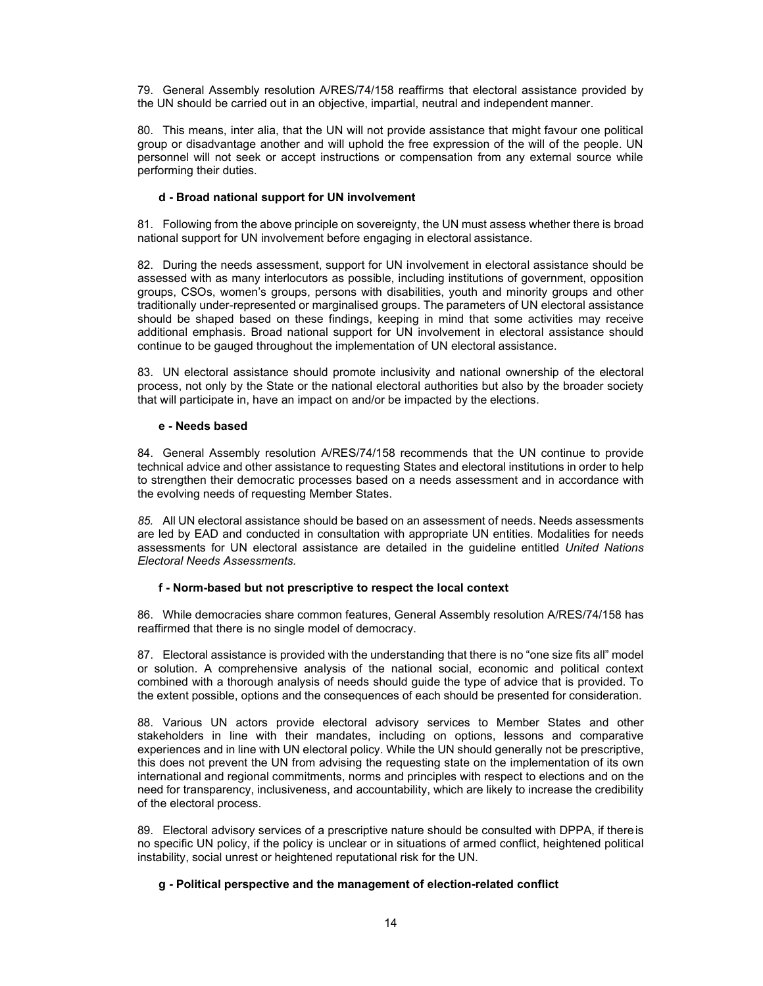79. General Assembly resolution A/RES/74/158 reaffirms that electoral assistance provided by the UN should be carried out in an objective, impartial, neutral and independent manner.

80. This means, inter alia, that the UN will not provide assistance that might favour one political group or disadvantage another and will uphold the free expression of the will of the people. UN personnel will not seek or accept instructions or compensation from any external source while performing their duties.

### **d - Broad national support for UN involvement**

81. Following from the above principle on sovereignty, the UN must assess whether there is broad national support for UN involvement before engaging in electoral assistance.

82. During the needs assessment, support for UN involvement in electoral assistance should be assessed with as many interlocutors as possible, including institutions of government, opposition groups, CSOs, women's groups, persons with disabilities, youth and minority groups and other traditionally under-represented or marginalised groups. The parameters of UN electoral assistance should be shaped based on these findings, keeping in mind that some activities may receive additional emphasis. Broad national support for UN involvement in electoral assistance should continue to be gauged throughout the implementation of UN electoral assistance.

83. UN electoral assistance should promote inclusivity and national ownership of the electoral process, not only by the State or the national electoral authorities but also by the broader society that will participate in, have an impact on and/or be impacted by the elections.

#### **e - Needs based**

84. General Assembly resolution A/RES/74/158 recommends that the UN continue to provide technical advice and other assistance to requesting States and electoral institutions in order to help to strengthen their democratic processes based on a needs assessment and in accordance with the evolving needs of requesting Member States.

*85.* All UN electoral assistance should be based on an assessment of needs. Needs assessments are led by EAD and conducted in consultation with appropriate UN entities. Modalities for needs assessments for UN electoral assistance are detailed in the guideline entitled *United Nations Electoral Needs Assessments.* 

#### **f - Norm-based but not prescriptive to respect the local context**

86. While democracies share common features, General Assembly resolution A/RES/74/158 has reaffirmed that there is no single model of democracy.

87. Electoral assistance is provided with the understanding that there is no "one size fits all" model or solution. A comprehensive analysis of the national social, economic and political context combined with a thorough analysis of needs should guide the type of advice that is provided. To the extent possible, options and the consequences of each should be presented for consideration.

88. Various UN actors provide electoral advisory services to Member States and other stakeholders in line with their mandates, including on options, lessons and comparative experiences and in line with UN electoral policy. While the UN should generally not be prescriptive, this does not prevent the UN from advising the requesting state on the implementation of its own international and regional commitments, norms and principles with respect to elections and on the need for transparency, inclusiveness, and accountability, which are likely to increase the credibility of the electoral process.

89. Electoral advisory services of a prescriptive nature should be consulted with DPPA, if there is no specific UN policy, if the policy is unclear or in situations of armed conflict, heightened political instability, social unrest or heightened reputational risk for the UN.

# **g - Political perspective and the management of election-related conflict**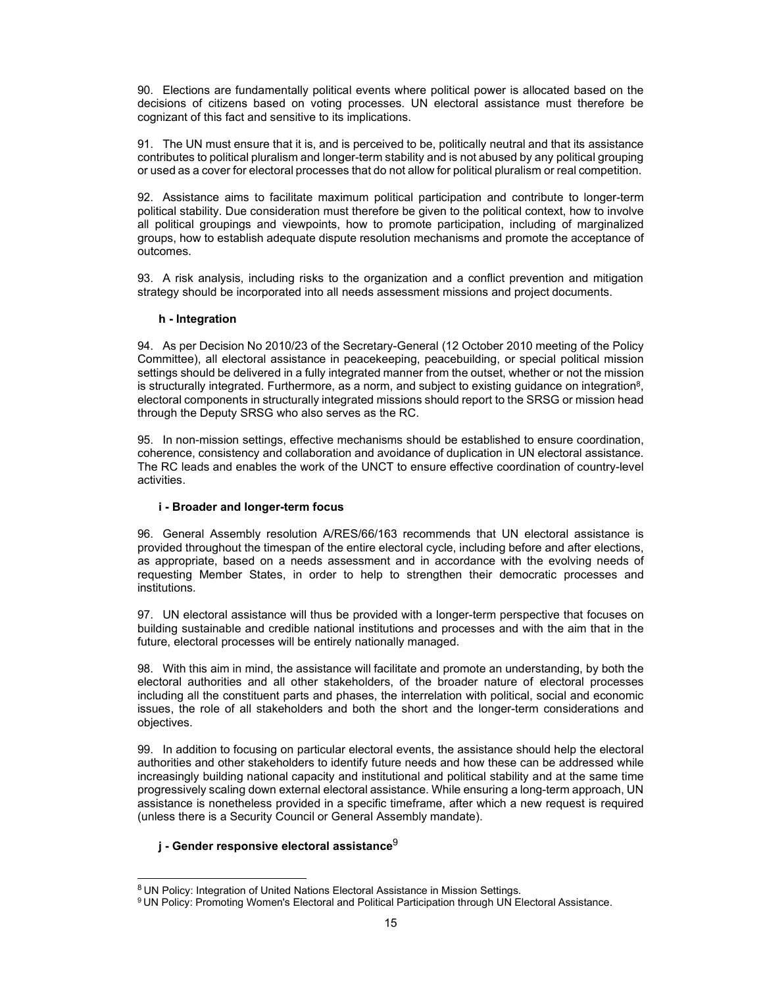90. Elections are fundamentally political events where political power is allocated based on the decisions of citizens based on voting processes. UN electoral assistance must therefore be cognizant of this fact and sensitive to its implications.

91. The UN must ensure that it is, and is perceived to be, politically neutral and that its assistance contributes to political pluralism and longer-term stability and is not abused by any political grouping or used as a cover for electoral processes that do not allow for political pluralism or real competition.

92. Assistance aims to facilitate maximum political participation and contribute to longer-term political stability. Due consideration must therefore be given to the political context, how to involve all political groupings and viewpoints, how to promote participation, including of marginalized groups, how to establish adequate dispute resolution mechanisms and promote the acceptance of outcomes.

93. A risk analysis, including risks to the organization and a conflict prevention and mitigation strategy should be incorporated into all needs assessment missions and project documents.

#### **h - Integration**

94. As per Decision No 2010/23 of the Secretary-General (12 October 2010 meeting of the Policy Committee), all electoral assistance in peacekeeping, peacebuilding, or special political mission settings should be delivered in a fully integrated manner from the outset, whether or not the mission is structurally integrated. Furthermore, as a norm, and subject to existing guidance on integration $^8$ , electoral components in structurally integrated missions should report to the SRSG or mission head through the Deputy SRSG who also serves as the RC.

95. In non-mission settings, effective mechanisms should be established to ensure coordination, coherence, consistency and collaboration and avoidance of duplication in UN electoral assistance. The RC leads and enables the work of the UNCT to ensure effective coordination of country-level activities.

#### **i - Broader and longer-term focus**

96. General Assembly resolution A/RES/66/163 recommends that UN electoral assistance is provided throughout the timespan of the entire electoral cycle, including before and after elections, as appropriate, based on a needs assessment and in accordance with the evolving needs of requesting Member States, in order to help to strengthen their democratic processes and institutions.

97. UN electoral assistance will thus be provided with a longer-term perspective that focuses on building sustainable and credible national institutions and processes and with the aim that in the future, electoral processes will be entirely nationally managed.

98. With this aim in mind, the assistance will facilitate and promote an understanding, by both the electoral authorities and all other stakeholders, of the broader nature of electoral processes including all the constituent parts and phases, the interrelation with political, social and economic issues, the role of all stakeholders and both the short and the longer-term considerations and objectives.

99. In addition to focusing on particular electoral events, the assistance should help the electoral authorities and other stakeholders to identify future needs and how these can be addressed while increasingly building national capacity and institutional and political stability and at the same time progressively scaling down external electoral assistance. While ensuring a long-term approach, UN assistance is nonetheless provided in a specific timeframe, after which a new request is required (unless there is a Security Council or General Assembly mandate).

# **j - Gender responsive electoral assistance**<sup>9</sup>

<sup>8</sup>UN Policy: Integration of United Nations Electoral Assistance in Mission Settings.

<sup>&</sup>lt;sup>9</sup> UN Policy: Promoting Women's Electoral and Political Participation through UN Electoral Assistance.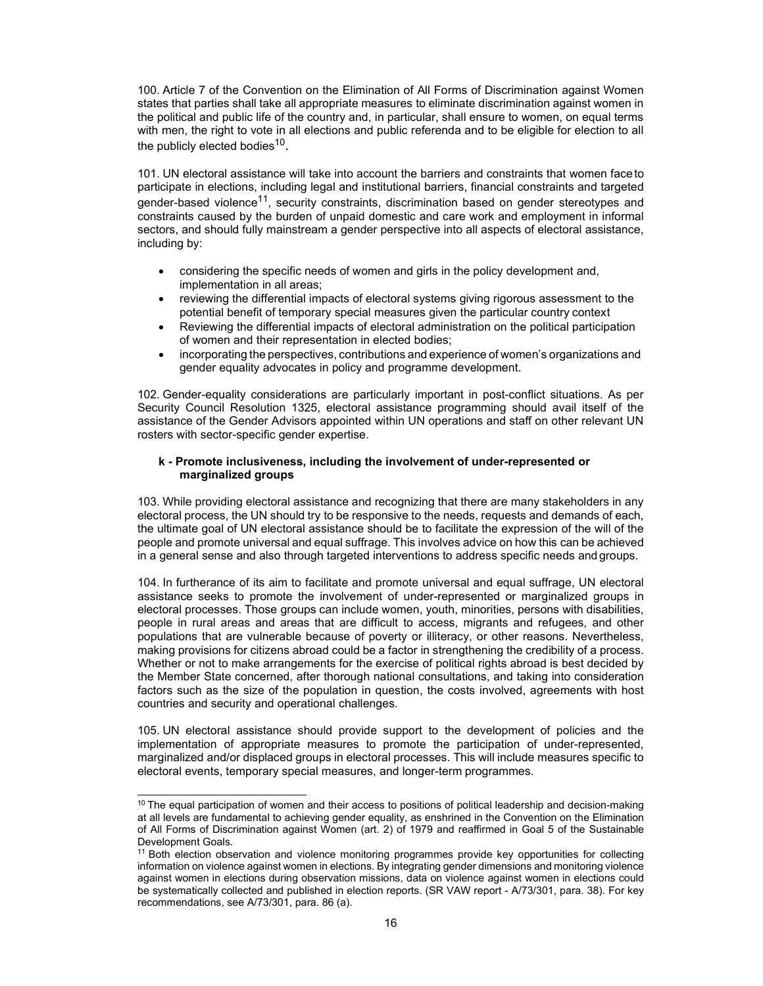100. Article 7 of the Convention on the Elimination of All Forms of Discrimination against Women states that parties shall take all appropriate measures to eliminate discrimination against women in the political and public life of the country and, in particular, shall ensure to women, on equal terms with men, the right to vote in all elections and public referenda and to be eligible for election to all the publicly elected bodies $^{\rm 10}$ .

101. UN electoral assistance will take into account the barriers and constraints that women face to participate in elections, including legal and institutional barriers, financial constraints and targeted gender-based violence<sup>11</sup>, security constraints, discrimination based on gender stereotypes and constraints caused by the burden of unpaid domestic and care work and employment in informal sectors, and should fully mainstream a gender perspective into all aspects of electoral assistance, including by:

- considering the specific needs of women and girls in the policy development and, implementation in all areas;
- reviewing the differential impacts of electoral systems giving rigorous assessment to the potential benefit of temporary special measures given the particular country context
- Reviewing the differential impacts of electoral administration on the political participation of women and their representation in elected bodies;
- incorporating the perspectives, contributions and experience of women's organizations and gender equality advocates in policy and programme development.

102. Gender-equality considerations are particularly important in post-conflict situations. As per Security Council Resolution 1325, electoral assistance programming should avail itself of the assistance of the Gender Advisors appointed within UN operations and staff on other relevant UN rosters with sector-specific gender expertise.

#### **k - Promote inclusiveness, including the involvement of under-represented or marginalized groups**

103. While providing electoral assistance and recognizing that there are many stakeholders in any electoral process, the UN should try to be responsive to the needs, requests and demands of each, the ultimate goal of UN electoral assistance should be to facilitate the expression of the will of the people and promote universal and equal suffrage. This involves advice on how this can be achieved in a general sense and also through targeted interventions to address specific needs and groups.

104. In furtherance of its aim to facilitate and promote universal and equal suffrage, UN electoral assistance seeks to promote the involvement of under-represented or marginalized groups in electoral processes. Those groups can include women, youth, minorities, persons with disabilities, people in rural areas and areas that are difficult to access, migrants and refugees, and other populations that are vulnerable because of poverty or illiteracy, or other reasons. Nevertheless, making provisions for citizens abroad could be a factor in strengthening the credibility of a process. Whether or not to make arrangements for the exercise of political rights abroad is best decided by the Member State concerned, after thorough national consultations, and taking into consideration factors such as the size of the population in question, the costs involved, agreements with host countries and security and operational challenges.

105. UN electoral assistance should provide support to the development of policies and the implementation of appropriate measures to promote the participation of under-represented, marginalized and/or displaced groups in electoral processes. This will include measures specific to electoral events, temporary special measures, and longer-term programmes.

 $10$  The equal participation of women and their access to positions of political leadership and decision-making at all levels are fundamental to achieving gender equality, as enshrined in the Convention on the Elimination of All Forms of Discrimination against Women (art. 2) of 1979 and reaffirmed in Goal 5 of the Sustainable Development Goals.

<sup>&</sup>lt;sup>11</sup> Both election observation and violence monitoring programmes provide key opportunities for collecting information on violence against women in elections. By integrating gender dimensions and monitoring violence against women in elections during observation missions, data on violence against women in elections could be systematically collected and published in election reports. (SR VAW report - A/73/301, para. 38). For key recommendations, see A/73/301, para. 86 (a).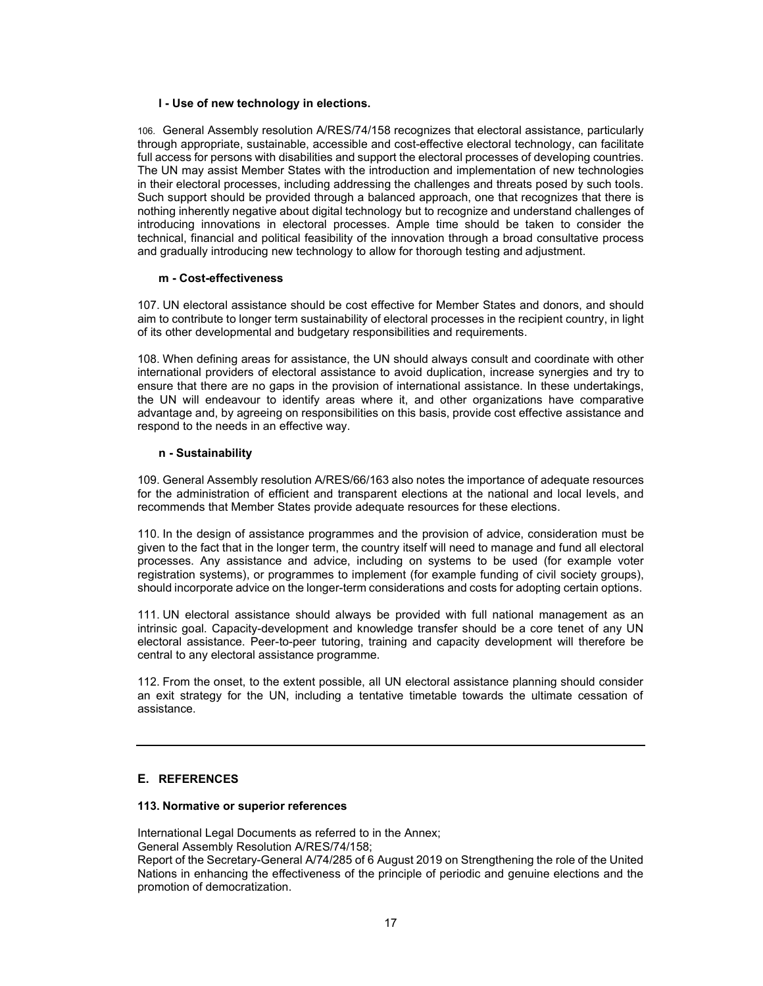#### **l - Use of new technology in elections.**

106. General Assembly resolution A/RES/74/158 recognizes that electoral assistance, particularly through appropriate, sustainable, accessible and cost-effective electoral technology, can facilitate full access for persons with disabilities and support the electoral processes of developing countries. The UN may assist Member States with the introduction and implementation of new technologies in their electoral processes, including addressing the challenges and threats posed by such tools. Such support should be provided through a balanced approach, one that recognizes that there is nothing inherently negative about digital technology but to recognize and understand challenges of introducing innovations in electoral processes. Ample time should be taken to consider the technical, financial and political feasibility of the innovation through a broad consultative process and gradually introducing new technology to allow for thorough testing and adjustment.

### **m - Cost-effectiveness**

107. UN electoral assistance should be cost effective for Member States and donors, and should aim to contribute to longer term sustainability of electoral processes in the recipient country, in light of its other developmental and budgetary responsibilities and requirements.

108. When defining areas for assistance, the UN should always consult and coordinate with other international providers of electoral assistance to avoid duplication, increase synergies and try to ensure that there are no gaps in the provision of international assistance. In these undertakings, the UN will endeavour to identify areas where it, and other organizations have comparative advantage and, by agreeing on responsibilities on this basis, provide cost effective assistance and respond to the needs in an effective way.

### **n - Sustainability**

109. General Assembly resolution A/RES/66/163 also notes the importance of adequate resources for the administration of efficient and transparent elections at the national and local levels, and recommends that Member States provide adequate resources for these elections.

110. In the design of assistance programmes and the provision of advice, consideration must be given to the fact that in the longer term, the country itself will need to manage and fund all electoral processes. Any assistance and advice, including on systems to be used (for example voter registration systems), or programmes to implement (for example funding of civil society groups), should incorporate advice on the longer-term considerations and costs for adopting certain options.

111. UN electoral assistance should always be provided with full national management as an intrinsic goal. Capacity-development and knowledge transfer should be a core tenet of any UN electoral assistance. Peer-to-peer tutoring, training and capacity development will therefore be central to any electoral assistance programme.

112. From the onset, to the extent possible, all UN electoral assistance planning should consider an exit strategy for the UN, including a tentative timetable towards the ultimate cessation of assistance.

# **E. REFERENCES**

#### **113. Normative or superior references**

International Legal Documents as referred to in the Annex; General Assembly Resolution A/RES/74/158;

Report of the Secretary-General A/74/285 of 6 August 2019 on Strengthening the role of the United Nations in enhancing the effectiveness of the principle of periodic and genuine elections and the promotion of democratization.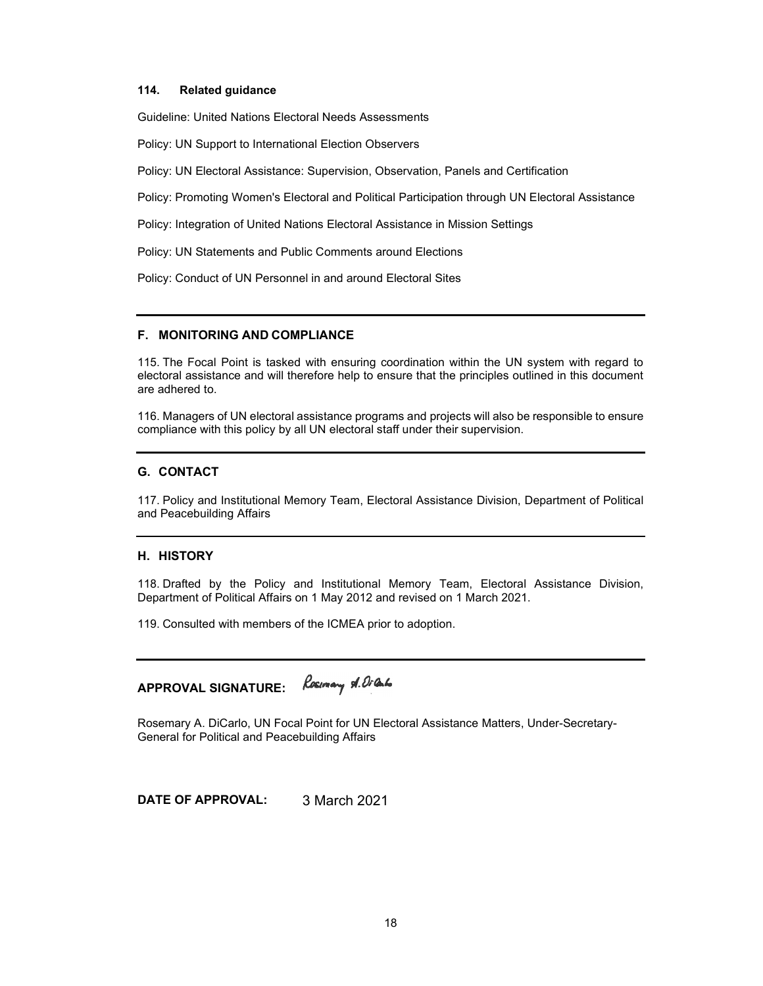#### **114. Related guidance**

Guideline: United Nations Electoral Needs Assessments

Policy: UN Support to International Election Observers

Policy: UN Electoral Assistance: Supervision, Observation, Panels and Certification

Policy: Promoting Women's Electoral and Political Participation through UN Electoral Assistance

Policy: Integration of United Nations Electoral Assistance in Mission Settings

Policy: UN Statements and Public Comments around Elections

Policy: Conduct of UN Personnel in and around Electoral Sites

### **F. MONITORING AND COMPLIANCE**

115. The Focal Point is tasked with ensuring coordination within the UN system with regard to electoral assistance and will therefore help to ensure that the principles outlined in this document are adhered to.

116. Managers of UN electoral assistance programs and projects will also be responsible to ensure compliance with this policy by all UN electoral staff under their supervision.

# **G. CONTACT**

117. Policy and Institutional Memory Team, Electoral Assistance Division, Department of Political and Peacebuilding Affairs

#### **H. HISTORY**

118. Drafted by the Policy and Institutional Memory Team, Electoral Assistance Division, Department of Political Affairs on 1 May 2012 and revised on 1 March 2021.

119. Consulted with members of the ICMEA prior to adoption.

# **APPROVAL SIGNATURE:**

Rosemary A. DiCarlo, UN Focal Point for UN Electoral Assistance Matters, Under-Secretary-General for Political and Peacebuilding Affairs

**DATE OF APPROVAL:** 3 March 2021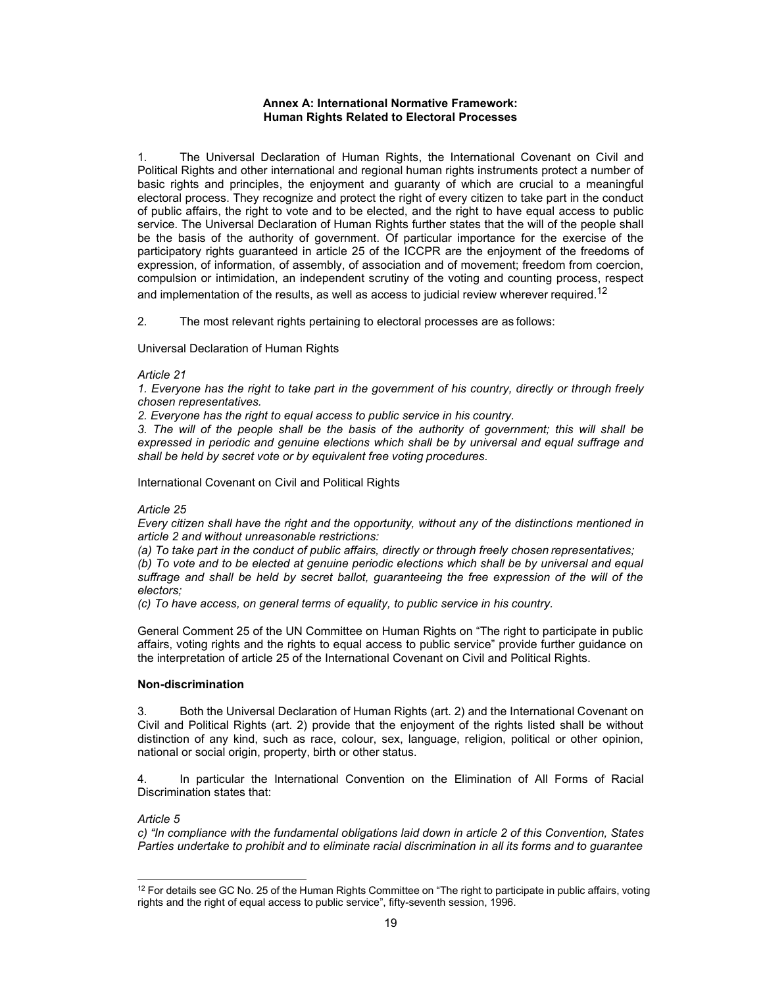### **Annex A: International Normative Framework: Human Rights Related to Electoral Processes**

The Universal Declaration of Human Rights, the International Covenant on Civil and Political Rights and other international and regional human rights instruments protect a number of basic rights and principles, the enjoyment and guaranty of which are crucial to a meaningful electoral process. They recognize and protect the right of every citizen to take part in the conduct of public affairs, the right to vote and to be elected, and the right to have equal access to public service. The Universal Declaration of Human Rights further states that the will of the people shall be the basis of the authority of government. Of particular importance for the exercise of the participatory rights guaranteed in article 25 of the ICCPR are the enjoyment of the freedoms of expression, of information, of assembly, of association and of movement; freedom from coercion, compulsion or intimidation, an independent scrutiny of the voting and counting process, respect and implementation of the results, as well as access to judicial review wherever required.<sup>12</sup>

2. The most relevant rights pertaining to electoral processes are as follows:

Universal Declaration of Human Rights

#### *Article 21*

*1. Everyone has the right to take part in the government of his country, directly or through freely chosen representatives.* 

*2. Everyone has the right to equal access to public service in his country.* 

*3. The will of the people shall be the basis of the authority of government; this will shall be expressed in periodic and genuine elections which shall be by universal and equal suffrage and shall be held by secret vote or by equivalent free voting procedures.* 

International Covenant on Civil and Political Rights

#### *Article 25*

*Every citizen shall have the right and the opportunity, without any of the distinctions mentioned in article 2 and without unreasonable restrictions:* 

*(a) To take part in the conduct of public affairs, directly or through freely chosen representatives; (b) To vote and to be elected at genuine periodic elections which shall be by universal and equal suffrage and shall be held by secret ballot, guaranteeing the free expression of the will of the electors;* 

*(c) To have access, on general terms of equality, to public service in his country.* 

General Comment 25 of the UN Committee on Human Rights on "The right to participate in public affairs, voting rights and the rights to equal access to public service" provide further guidance on the interpretation of article 25 of the International Covenant on Civil and Political Rights.

### **Non-discrimination**

3. Both the Universal Declaration of Human Rights (art. 2) and the International Covenant on Civil and Political Rights (art. 2) provide that the enjoyment of the rights listed shall be without distinction of any kind, such as race, colour, sex, language, religion, political or other opinion, national or social origin, property, birth or other status.

4. In particular the International Convention on the Elimination of All Forms of Racial Discrimination states that:

#### *Article 5*

*c) "In compliance with the fundamental obligations laid down in article 2 of this Convention, States Parties undertake to prohibit and to eliminate racial discrimination in all its forms and to guarantee*

<sup>&</sup>lt;sup>12</sup> For details see GC No. 25 of the Human Rights Committee on "The right to participate in public affairs, voting rights and the right of equal access to public service", fifty-seventh session, 1996.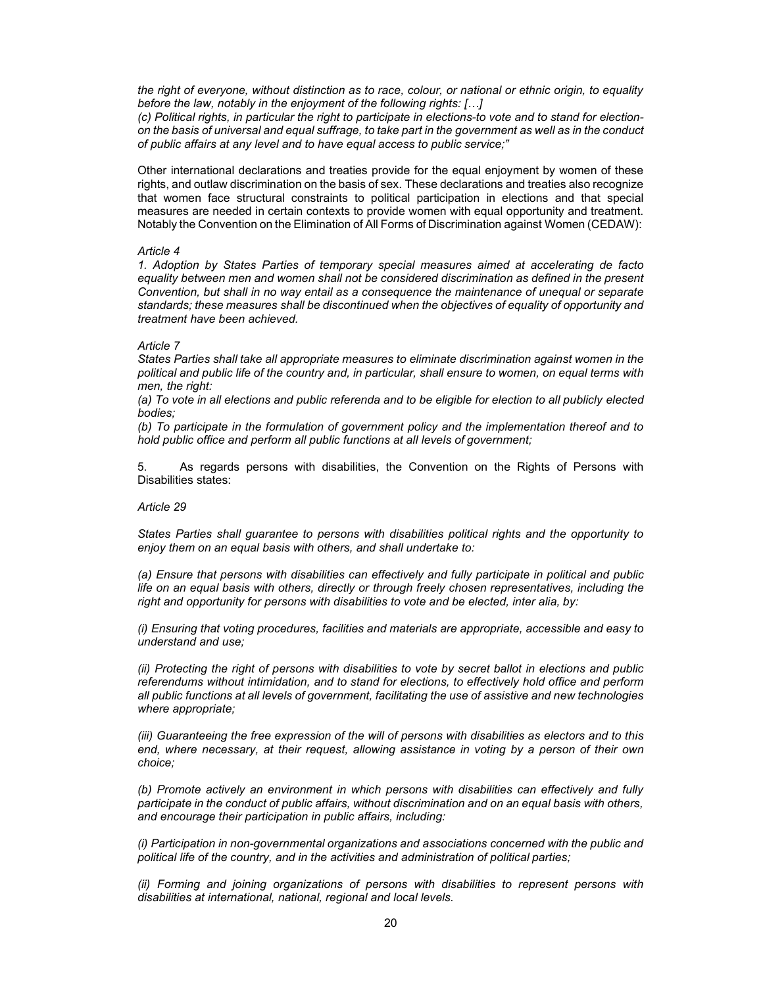*the right of everyone, without distinction as to race, colour, or national or ethnic origin, to equality before the law, notably in the enjoyment of the following rights: […]* 

*(c) Political rights, in particular the right to participate in elections-to vote and to stand for electionon the basis of universal and equal suffrage, to take part in the government as well as in the conduct of public affairs at any level and to have equal access to public service;"* 

Other international declarations and treaties provide for the equal enjoyment by women of these rights, and outlaw discrimination on the basis of sex. These declarations and treaties also recognize that women face structural constraints to political participation in elections and that special measures are needed in certain contexts to provide women with equal opportunity and treatment. Notably the Convention on the Elimination of All Forms of Discrimination against Women (CEDAW):

#### *Article 4*

*1. Adoption by States Parties of temporary special measures aimed at accelerating de facto equality between men and women shall not be considered discrimination as defined in the present Convention, but shall in no way entail as a consequence the maintenance of unequal or separate standards; these measures shall be discontinued when the objectives of equality of opportunity and treatment have been achieved.* 

#### *Article 7*

*States Parties shall take all appropriate measures to eliminate discrimination against women in the political and public life of the country and, in particular, shall ensure to women, on equal terms with men, the right:* 

*(a) To vote in all elections and public referenda and to be eligible for election to all publicly elected bodies;* 

*(b) To participate in the formulation of government policy and the implementation thereof and to hold public office and perform all public functions at all levels of government;* 

5. As regards persons with disabilities, the Convention on the Rights of Persons with Disabilities states:

#### *Article 29*

*States Parties shall guarantee to persons with disabilities political rights and the opportunity to enjoy them on an equal basis with others, and shall undertake to:* 

*(a) Ensure that persons with disabilities can effectively and fully participate in political and public life on an equal basis with others, directly or through freely chosen representatives, including the right and opportunity for persons with disabilities to vote and be elected, inter alia, by:* 

*(i) Ensuring that voting procedures, facilities and materials are appropriate, accessible and easy to understand and use;* 

*(ii) Protecting the right of persons with disabilities to vote by secret ballot in elections and public referendums without intimidation, and to stand for elections, to effectively hold office and perform all public functions at all levels of government, facilitating the use of assistive and new technologies where appropriate;* 

*(iii) Guaranteeing the free expression of the will of persons with disabilities as electors and to this end, where necessary, at their request, allowing assistance in voting by a person of their own choice;* 

*(b) Promote actively an environment in which persons with disabilities can effectively and fully participate in the conduct of public affairs, without discrimination and on an equal basis with others, and encourage their participation in public affairs, including:* 

*(i) Participation in non-governmental organizations and associations concerned with the public and political life of the country, and in the activities and administration of political parties;* 

*(ii) Forming and joining organizations of persons with disabilities to represent persons with disabilities at international, national, regional and local levels.*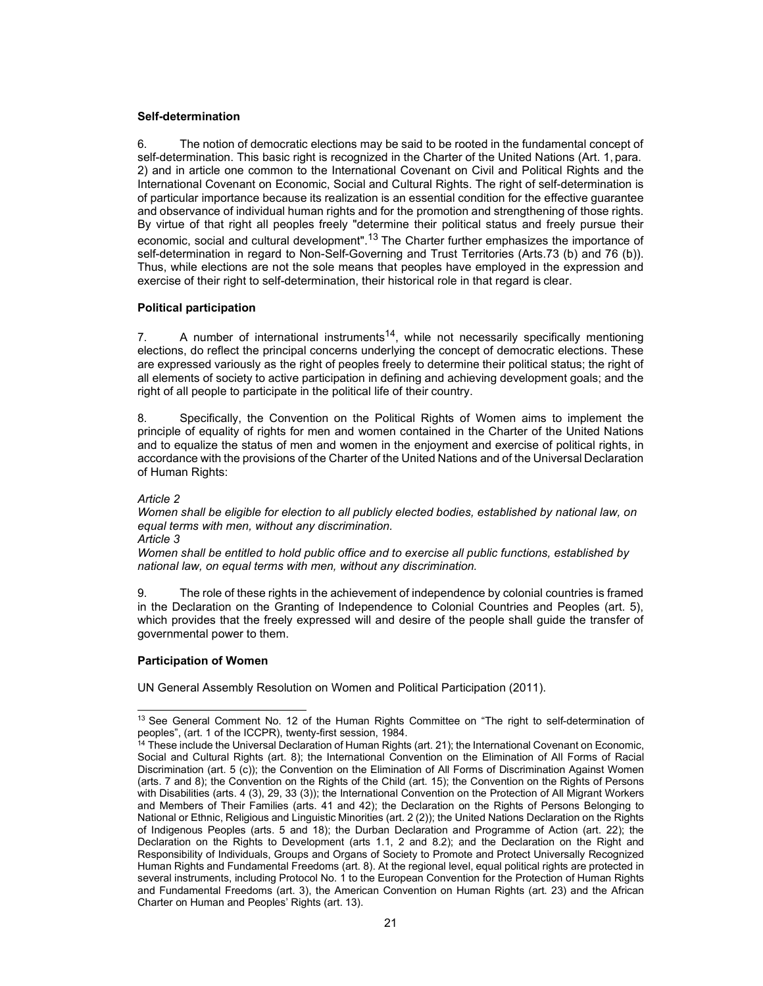#### **Self-determination**

6. The notion of democratic elections may be said to be rooted in the fundamental concept of self-determination. This basic right is recognized in the Charter of the United Nations (Art. 1, para. 2) and in article one common to the International Covenant on Civil and Political Rights and the International Covenant on Economic, Social and Cultural Rights. The right of self-determination is of particular importance because its realization is an essential condition for the effective guarantee and observance of individual human rights and for the promotion and strengthening of those rights. By virtue of that right all peoples freely "determine their political status and freely pursue their economic, social and cultural development".<sup>13</sup> The Charter further emphasizes the importance of self-determination in regard to Non-Self-Governing and Trust Territories (Arts.73 (b) and 76 (b)). Thus, while elections are not the sole means that peoples have employed in the expression and exercise of their right to self-determination, their historical role in that regard is clear.

# **Political participation**

7. A number of international instruments<sup>14</sup>, while not necessarily specifically mentioning elections, do reflect the principal concerns underlying the concept of democratic elections. These are expressed variously as the right of peoples freely to determine their political status; the right of all elements of society to active participation in defining and achieving development goals; and the right of all people to participate in the political life of their country.

8. Specifically, the Convention on the Political Rights of Women aims to implement the principle of equality of rights for men and women contained in the Charter of the United Nations and to equalize the status of men and women in the enjoyment and exercise of political rights, in accordance with the provisions of the Charter of the United Nations and of the Universal Declaration of Human Rights:

#### *Article 2*

*Women shall be eligible for election to all publicly elected bodies, established by national law, on equal terms with men, without any discrimination.* 

*Article 3* 

*Women shall be entitled to hold public office and to exercise all public functions, established by national law, on equal terms with men, without any discrimination.* 

9. The role of these rights in the achievement of independence by colonial countries is framed in the Declaration on the Granting of Independence to Colonial Countries and Peoples (art. 5), which provides that the freely expressed will and desire of the people shall guide the transfer of governmental power to them.

# **Participation of Women**

UN General Assembly Resolution on Women and Political Participation (2011).

<sup>&</sup>lt;sup>13</sup> See General Comment No. 12 of the Human Rights Committee on "The right to self-determination of peoples", (art. 1 of the ICCPR), twenty-first session, 1984.

<sup>&</sup>lt;sup>14</sup> These include the Universal Declaration of Human Rights (art. 21); the International Covenant on Economic, Social and Cultural Rights (art. 8); the International Convention on the Elimination of All Forms of Racial Discrimination (art. 5 (c)); the Convention on the Elimination of All Forms of Discrimination Against Women (arts. 7 and 8); the Convention on the Rights of the Child (art. 15); the Convention on the Rights of Persons with Disabilities (arts. 4 (3), 29, 33 (3)); the International Convention on the Protection of All Migrant Workers and Members of Their Families (arts. 41 and 42); the Declaration on the Rights of Persons Belonging to National or Ethnic, Religious and Linguistic Minorities (art. 2 (2)); the United Nations Declaration on the Rights of Indigenous Peoples (arts. 5 and 18); the Durban Declaration and Programme of Action (art. 22); the Declaration on the Rights to Development (arts 1.1, 2 and 8.2); and the Declaration on the Right and Responsibility of Individuals, Groups and Organs of Society to Promote and Protect Universally Recognized Human Rights and Fundamental Freedoms (art. 8). At the regional level, equal political rights are protected in several instruments, including Protocol No. 1 to the European Convention for the Protection of Human Rights and Fundamental Freedoms (art. 3), the American Convention on Human Rights (art. 23) and the African Charter on Human and Peoples' Rights (art. 13).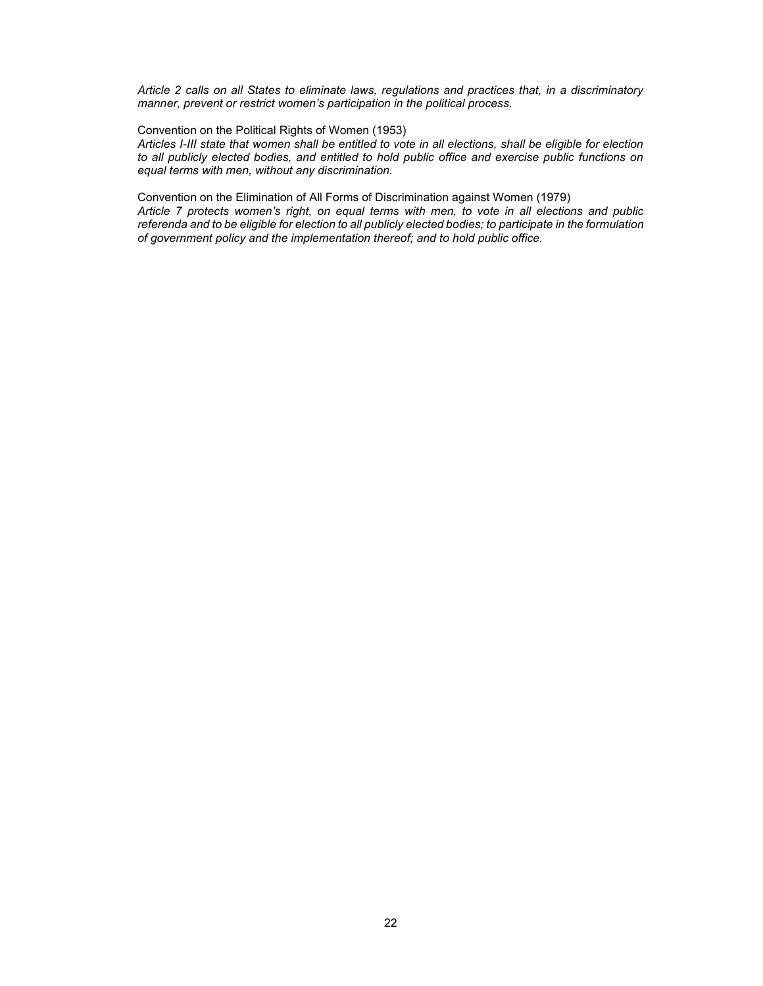*Article 2 calls on all States to eliminate laws, regulations and practices that, in a discriminatory manner, prevent or restrict women's participation in the political process.* 

Convention on the Political Rights of Women (1953)

*Articles I-III state that women shall be entitled to vote in all elections, shall be eligible for election to all publicly elected bodies, and entitled to hold public office and exercise public functions on equal terms with men, without any discrimination.* 

Convention on the Elimination of All Forms of Discrimination against Women (1979)

*Article 7 protects women's right, on equal terms with men, to vote in all elections and public referenda and to be eligible for election to all publicly elected bodies; to participate in the formulation of government policy and the implementation thereof; and to hold public office.*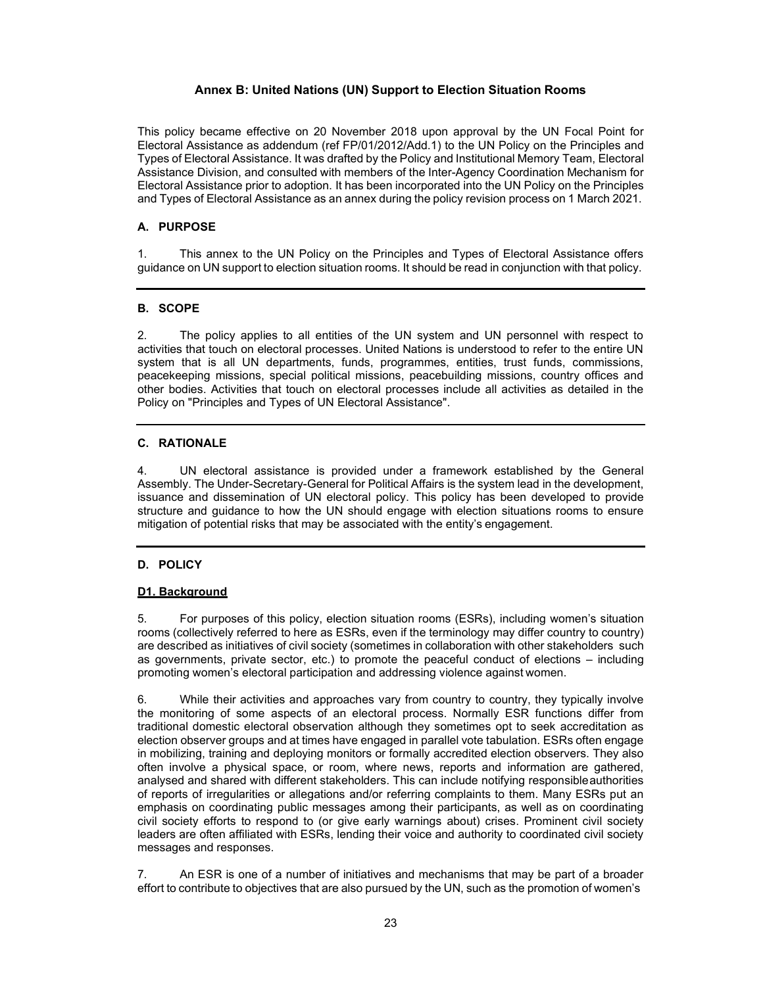# **Annex B: United Nations (UN) Support to Election Situation Rooms**

This policy became effective on 20 November 2018 upon approval by the UN Focal Point for Electoral Assistance as addendum (ref FP/01/2012/Add.1) to the UN Policy on the Principles and Types of Electoral Assistance. It was drafted by the Policy and Institutional Memory Team, Electoral Assistance Division, and consulted with members of the Inter-Agency Coordination Mechanism for Electoral Assistance prior to adoption. It has been incorporated into the UN Policy on the Principles and Types of Electoral Assistance as an annex during the policy revision process on 1 March 2021.

# **A. PURPOSE**

1. This annex to the UN Policy on the Principles and Types of Electoral Assistance offers guidance on UN support to election situation rooms. It should be read in conjunction with that policy.

# **B. SCOPE**

2. The policy applies to all entities of the UN system and UN personnel with respect to activities that touch on electoral processes. United Nations is understood to refer to the entire UN system that is all UN departments, funds, programmes, entities, trust funds, commissions, peacekeeping missions, special political missions, peacebuilding missions, country offices and other bodies. Activities that touch on electoral processes include all activities as detailed in the Policy on "Principles and Types of UN Electoral Assistance".

### **C. RATIONALE**

4. UN electoral assistance is provided under a framework established by the General Assembly. The Under-Secretary-General for Political Affairs is the system lead in the development, issuance and dissemination of UN electoral policy. This policy has been developed to provide structure and guidance to how the UN should engage with election situations rooms to ensure mitigation of potential risks that may be associated with the entity's engagement.

# **D. POLICY**

#### **D1. Background**

5. For purposes of this policy, election situation rooms (ESRs), including women's situation rooms (collectively referred to here as ESRs, even if the terminology may differ country to country) are described as initiatives of civil society (sometimes in collaboration with other stakeholders such as governments, private sector, etc.) to promote the peaceful conduct of elections – including promoting women's electoral participation and addressing violence against women.

6. While their activities and approaches vary from country to country, they typically involve the monitoring of some aspects of an electoral process. Normally ESR functions differ from traditional domestic electoral observation although they sometimes opt to seek accreditation as election observer groups and at times have engaged in parallel vote tabulation. ESRs often engage in mobilizing, training and deploying monitors or formally accredited election observers. They also often involve a physical space, or room, where news, reports and information are gathered, analysed and shared with different stakeholders. This can include notifying responsible authorities of reports of irregularities or allegations and/or referring complaints to them. Many ESRs put an emphasis on coordinating public messages among their participants, as well as on coordinating civil society efforts to respond to (or give early warnings about) crises. Prominent civil society leaders are often affiliated with ESRs, lending their voice and authority to coordinated civil society messages and responses.

7. An ESR is one of a number of initiatives and mechanisms that may be part of a broader effort to contribute to objectives that are also pursued by the UN, such as the promotion of women's